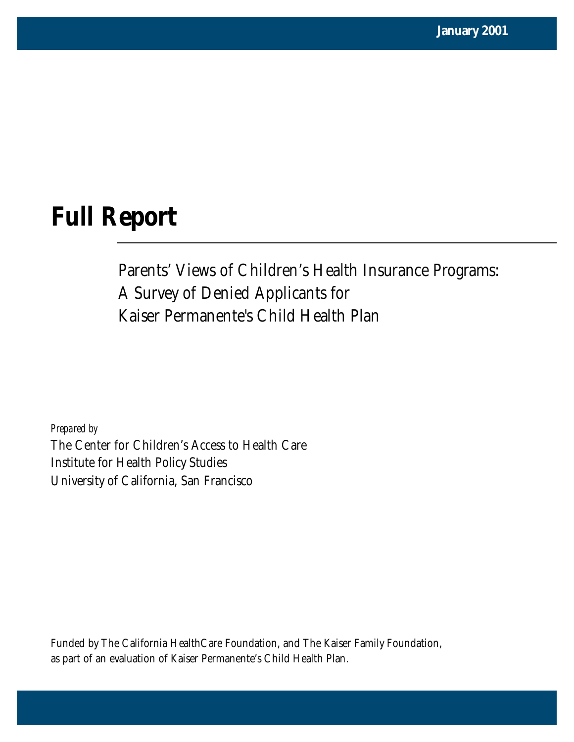# **Full Report**

Parents' Views of Children's Health Insurance Programs: A Survey of Denied Applicants for Kaiser Permanente's Child Health Plan

*Prepared by* The Center for Children's Access to Health Care Institute for Health Policy Studies University of California, San Francisco

Funded by The California HealthCare Foundation, and The Kaiser Family Foundation, as part of an evaluation of Kaiser Permanente's Child Health Plan.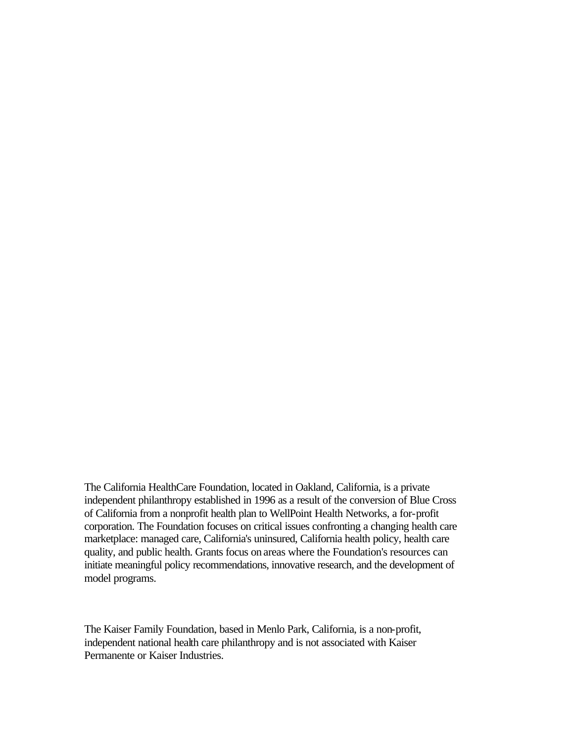The California HealthCare Foundation, located in Oakland, California, is a private independent philanthropy established in 1996 as a result of the conversion of Blue Cross of California from a nonprofit health plan to WellPoint Health Networks, a for-profit corporation. The Foundation focuses on critical issues confronting a changing health care marketplace: managed care, California's uninsured, California health policy, health care quality, and public health. Grants focus on areas where the Foundation's resources can initiate meaningful policy recommendations, innovative research, and the development of model programs.

The Kaiser Family Foundation, based in Menlo Park, California, is a non-profit, independent national health care philanthropy and is not associated with Kaiser Permanente or Kaiser Industries.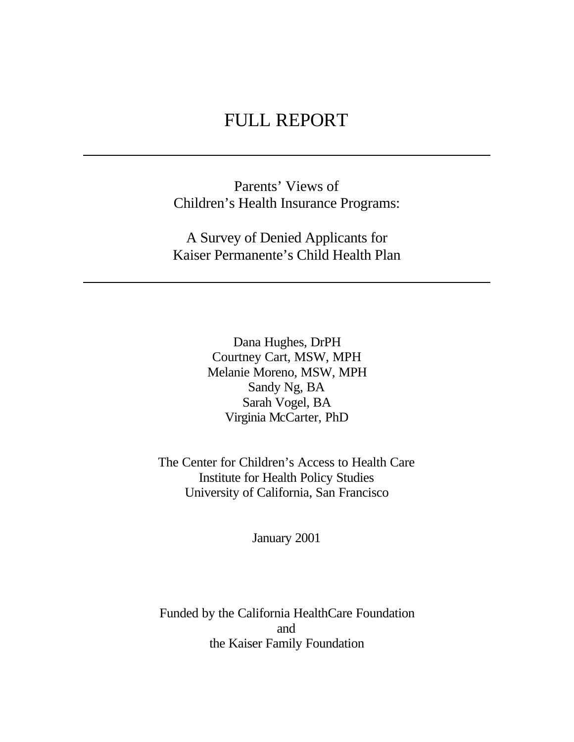# FULL REPORT

Parents' Views of Children's Health Insurance Programs:

A Survey of Denied Applicants for Kaiser Permanente's Child Health Plan

> Dana Hughes, DrPH Courtney Cart, MSW, MPH Melanie Moreno, MSW, MPH Sandy Ng, BA Sarah Vogel, BA Virginia McCarter, PhD

The Center for Children's Access to Health Care Institute for Health Policy Studies University of California, San Francisco

January 2001

Funded by the California HealthCare Foundation and the Kaiser Family Foundation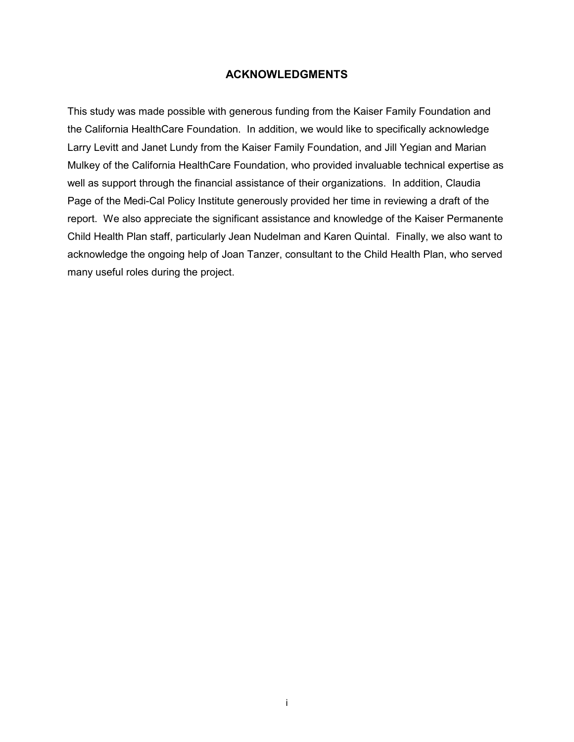#### **ACKNOWLEDGMENTS**

This study was made possible with generous funding from the Kaiser Family Foundation and the California HealthCare Foundation. In addition, we would like to specifically acknowledge Larry Levitt and Janet Lundy from the Kaiser Family Foundation, and Jill Yegian and Marian Mulkey of the California HealthCare Foundation, who provided invaluable technical expertise as well as support through the financial assistance of their organizations. In addition, Claudia Page of the Medi-Cal Policy Institute generously provided her time in reviewing a draft of the report. We also appreciate the significant assistance and knowledge of the Kaiser Permanente Child Health Plan staff, particularly Jean Nudelman and Karen Quintal. Finally, we also want to acknowledge the ongoing help of Joan Tanzer, consultant to the Child Health Plan, who served many useful roles during the project.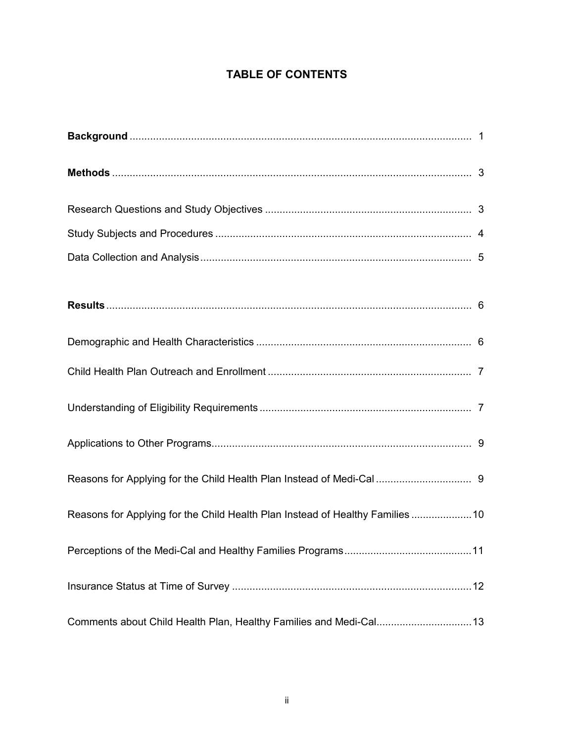# **TABLE OF CONTENTS**

| Reasons for Applying for the Child Health Plan Instead of Healthy Families 10 |  |
|-------------------------------------------------------------------------------|--|
|                                                                               |  |
|                                                                               |  |
| Comments about Child Health Plan, Healthy Families and Medi-Cal 13            |  |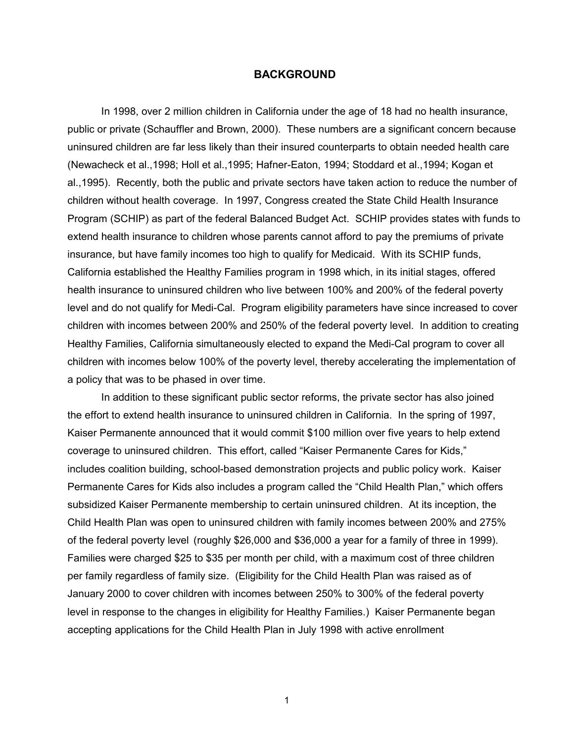#### **BACKGROUND**

In 1998, over 2 million children in California under the age of 18 had no health insurance, public or private (Schauffler and Brown, 2000). These numbers are a significant concern because uninsured children are far less likely than their insured counterparts to obtain needed health care (Newacheck et al.,1998; Holl et al.,1995; Hafner-Eaton, 1994; Stoddard et al.,1994; Kogan et al.,1995). Recently, both the public and private sectors have taken action to reduce the number of children without health coverage. In 1997, Congress created the State Child Health Insurance Program (SCHIP) as part of the federal Balanced Budget Act. SCHIP provides states with funds to extend health insurance to children whose parents cannot afford to pay the premiums of private insurance, but have family incomes too high to qualify for Medicaid. With its SCHIP funds, California established the Healthy Families program in 1998 which, in its initial stages, offered health insurance to uninsured children who live between 100% and 200% of the federal poverty level and do not qualify for Medi-Cal. Program eligibility parameters have since increased to cover children with incomes between 200% and 250% of the federal poverty level. In addition to creating Healthy Families, California simultaneously elected to expand the Medi-Cal program to cover all children with incomes below 100% of the poverty level, thereby accelerating the implementation of a policy that was to be phased in over time.

In addition to these significant public sector reforms, the private sector has also joined the effort to extend health insurance to uninsured children in California. In the spring of 1997, Kaiser Permanente announced that it would commit \$100 million over five years to help extend coverage to uninsured children. This effort, called "Kaiser Permanente Cares for Kids," includes coalition building, school-based demonstration projects and public policy work. Kaiser Permanente Cares for Kids also includes a program called the "Child Health Plan," which offers subsidized Kaiser Permanente membership to certain uninsured children. At its inception, the Child Health Plan was open to uninsured children with family incomes between 200% and 275% of the federal poverty level (roughly \$26,000 and \$36,000 a year for a family of three in 1999). Families were charged \$25 to \$35 per month per child, with a maximum cost of three children per family regardless of family size. (Eligibility for the Child Health Plan was raised as of January 2000 to cover children with incomes between 250% to 300% of the federal poverty level in response to the changes in eligibility for Healthy Families.) Kaiser Permanente began accepting applications for the Child Health Plan in July 1998 with active enrollment

 $\sim$  1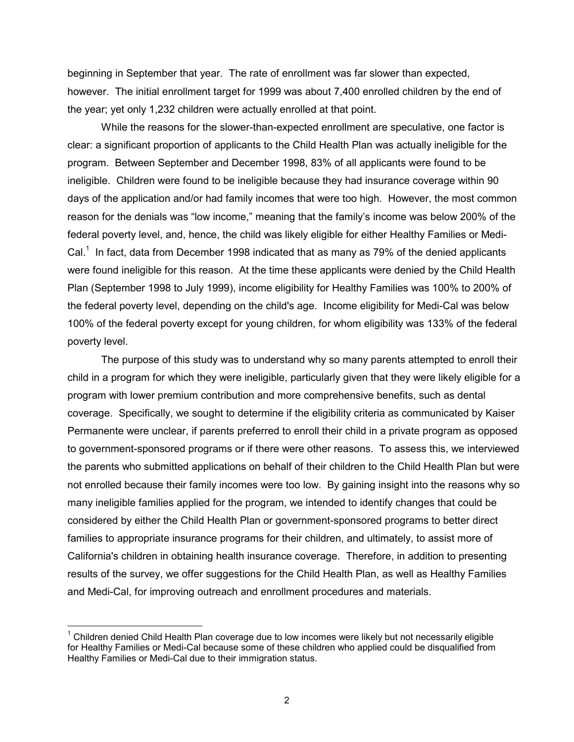beginning in September that year. The rate of enrollment was far slower than expected, however. The initial enrollment target for 1999 was about 7,400 enrolled children by the end of the year; yet only 1,232 children were actually enrolled at that point.

While the reasons for the slower-than-expected enrollment are speculative, one factor is clear: a significant proportion of applicants to the Child Health Plan was actually ineligible for the program. Between September and December 1998, 83% of all applicants were found to be ineligible. Children were found to be ineligible because they had insurance coverage within 90 days of the application and/or had family incomes that were too high. However, the most common reason for the denials was "low income," meaning that the family's income was below 200% of the federal poverty level, and, hence, the child was likely eligible for either Healthy Families or Medi-Cal. $<sup>1</sup>$  In fact, data from December 1998 indicated that as many as 79% of the denied applicants</sup> were found ineligible for this reason. At the time these applicants were denied by the Child Health Plan (September 1998 to July 1999), income eligibility for Healthy Families was 100% to 200% of the federal poverty level, depending on the child's age. Income eligibility for Medi-Cal was below 100% of the federal poverty except for young children, for whom eligibility was 133% of the federal poverty level.

The purpose of this study was to understand why so many parents attempted to enroll their child in a program for which they were ineligible, particularly given that they were likely eligible for a program with lower premium contribution and more comprehensive benefits, such as dental coverage. Specifically, we sought to determine if the eligibility criteria as communicated by Kaiser Permanente were unclear, if parents preferred to enroll their child in a private program as opposed to government-sponsored programs or if there were other reasons. To assess this, we interviewed the parents who submitted applications on behalf of their children to the Child Health Plan but were not enrolled because their family incomes were too low. By gaining insight into the reasons why so many ineligible families applied for the program, we intended to identify changes that could be considered by either the Child Health Plan or government-sponsored programs to better direct families to appropriate insurance programs for their children, and ultimately, to assist more of California's children in obtaining health insurance coverage. Therefore, in addition to presenting results of the survey, we offer suggestions for the Child Health Plan, as well as Healthy Families and Medi-Cal, for improving outreach and enrollment procedures and materials.

 $\overline{a}$ 

 $1$  Children denied Child Health Plan coverage due to low incomes were likely but not necessarily eligible for Healthy Families or Medi-Cal because some of these children who applied could be disqualified from Healthy Families or Medi-Cal due to their immigration status.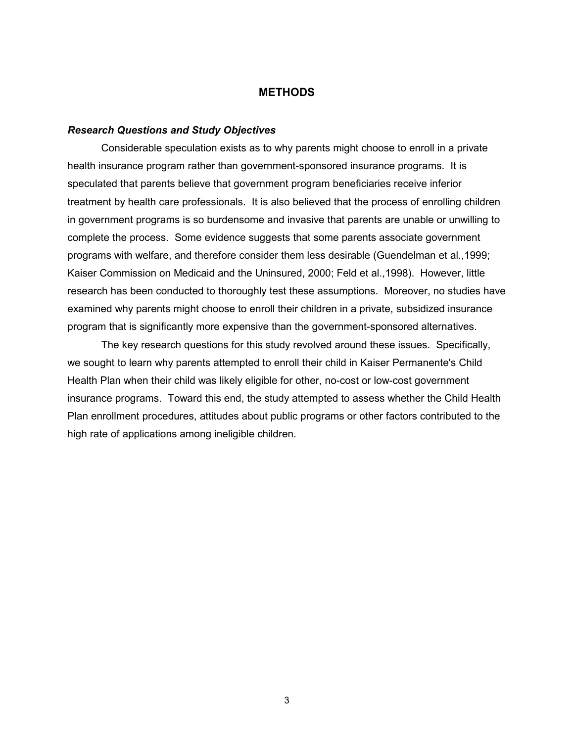#### **METHODS**

#### *Research Questions and Study Objectives*

Considerable speculation exists as to why parents might choose to enroll in a private health insurance program rather than government-sponsored insurance programs. It is speculated that parents believe that government program beneficiaries receive inferior treatment by health care professionals. It is also believed that the process of enrolling children in government programs is so burdensome and invasive that parents are unable or unwilling to complete the process. Some evidence suggests that some parents associate government programs with welfare, and therefore consider them less desirable (Guendelman et al.,1999; Kaiser Commission on Medicaid and the Uninsured, 2000; Feld et al.,1998). However, little research has been conducted to thoroughly test these assumptions. Moreover, no studies have examined why parents might choose to enroll their children in a private, subsidized insurance program that is significantly more expensive than the government-sponsored alternatives.

The key research questions for this study revolved around these issues. Specifically, we sought to learn why parents attempted to enroll their child in Kaiser Permanente's Child Health Plan when their child was likely eligible for other, no-cost or low-cost government insurance programs. Toward this end, the study attempted to assess whether the Child Health Plan enrollment procedures, attitudes about public programs or other factors contributed to the high rate of applications among ineligible children.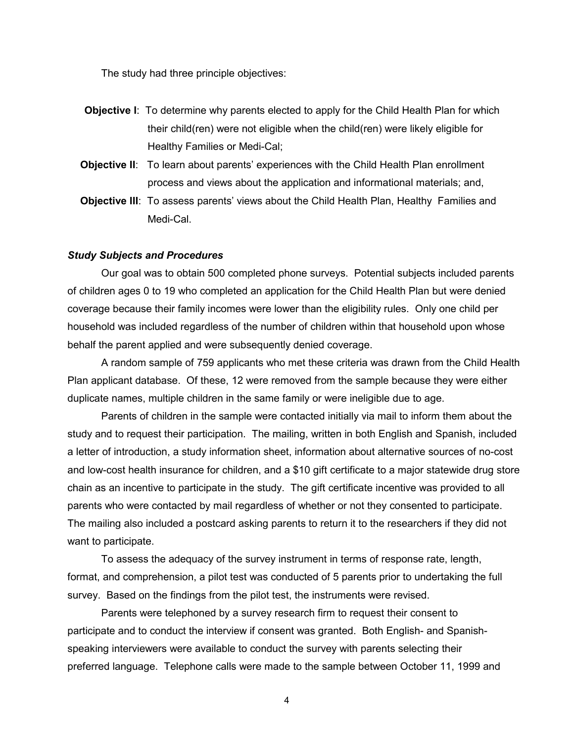The study had three principle objectives:

- **Objective I**: To determine why parents elected to apply for the Child Health Plan for which their child(ren) were not eligible when the child(ren) were likely eligible for Healthy Families or Medi-Cal;
- **Objective II:** To learn about parents' experiences with the Child Health Plan enrollment process and views about the application and informational materials; and,
- **Objective III**: To assess parents' views about the Child Health Plan, Healthy Families and Medi-Cal.

#### *Study Subjects and Procedures*

 Our goal was to obtain 500 completed phone surveys. Potential subjects included parents of children ages 0 to 19 who completed an application for the Child Health Plan but were denied coverage because their family incomes were lower than the eligibility rules. Only one child per household was included regardless of the number of children within that household upon whose behalf the parent applied and were subsequently denied coverage.

A random sample of 759 applicants who met these criteria was drawn from the Child Health Plan applicant database. Of these, 12 were removed from the sample because they were either duplicate names, multiple children in the same family or were ineligible due to age.

Parents of children in the sample were contacted initially via mail to inform them about the study and to request their participation. The mailing, written in both English and Spanish, included a letter of introduction, a study information sheet, information about alternative sources of no-cost and low-cost health insurance for children, and a \$10 gift certificate to a major statewide drug store chain as an incentive to participate in the study. The gift certificate incentive was provided to all parents who were contacted by mail regardless of whether or not they consented to participate. The mailing also included a postcard asking parents to return it to the researchers if they did not want to participate.

To assess the adequacy of the survey instrument in terms of response rate, length, format, and comprehension, a pilot test was conducted of 5 parents prior to undertaking the full survey. Based on the findings from the pilot test, the instruments were revised.

Parents were telephoned by a survey research firm to request their consent to participate and to conduct the interview if consent was granted. Both English- and Spanishspeaking interviewers were available to conduct the survey with parents selecting their preferred language. Telephone calls were made to the sample between October 11, 1999 and

4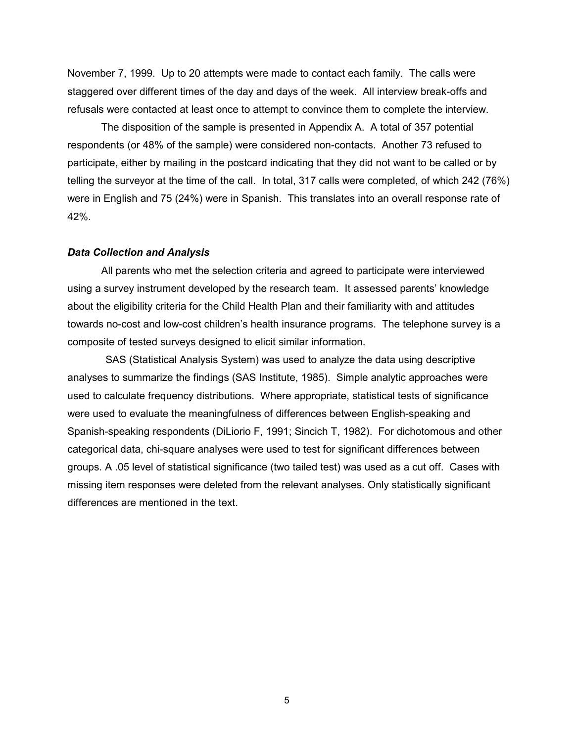November 7, 1999. Up to 20 attempts were made to contact each family. The calls were staggered over different times of the day and days of the week. All interview break-offs and refusals were contacted at least once to attempt to convince them to complete the interview.

The disposition of the sample is presented in Appendix A. A total of 357 potential respondents (or 48% of the sample) were considered non-contacts. Another 73 refused to participate, either by mailing in the postcard indicating that they did not want to be called or by telling the surveyor at the time of the call. In total, 317 calls were completed, of which 242 (76%) were in English and 75 (24%) were in Spanish. This translates into an overall response rate of 42%.

#### *Data Collection and Analysis*

 All parents who met the selection criteria and agreed to participate were interviewed using a survey instrument developed by the research team. It assessed parents' knowledge about the eligibility criteria for the Child Health Plan and their familiarity with and attitudes towards no-cost and low-cost children's health insurance programs. The telephone survey is a composite of tested surveys designed to elicit similar information.

 SAS (Statistical Analysis System) was used to analyze the data using descriptive analyses to summarize the findings (SAS Institute, 1985). Simple analytic approaches were used to calculate frequency distributions. Where appropriate, statistical tests of significance were used to evaluate the meaningfulness of differences between English-speaking and Spanish-speaking respondents (DiLiorio F, 1991; Sincich T, 1982). For dichotomous and other categorical data, chi-square analyses were used to test for significant differences between groups. A .05 level of statistical significance (two tailed test) was used as a cut off. Cases with missing item responses were deleted from the relevant analyses. Only statistically significant differences are mentioned in the text.

 $\sim$  5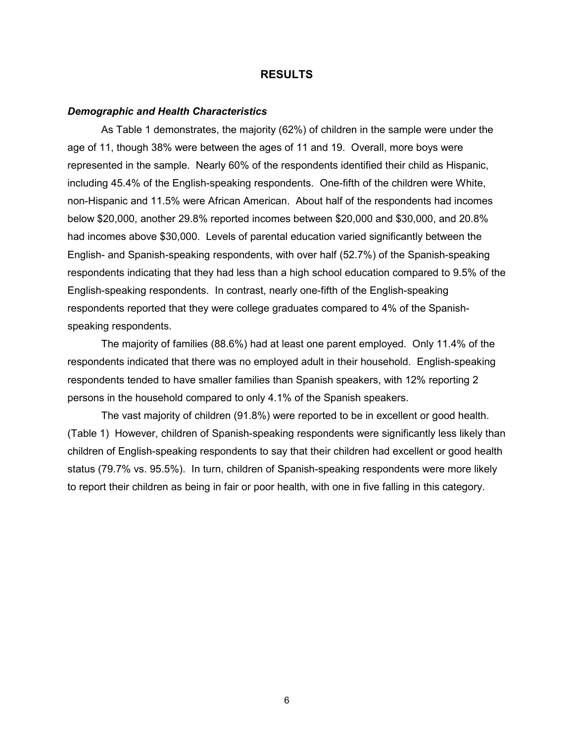#### **RESULTS**

#### *Demographic and Health Characteristics*

 As Table 1 demonstrates, the majority (62%) of children in the sample were under the age of 11, though 38% were between the ages of 11 and 19. Overall, more boys were represented in the sample. Nearly 60% of the respondents identified their child as Hispanic, including 45.4% of the English-speaking respondents. One-fifth of the children were White, non-Hispanic and 11.5% were African American. About half of the respondents had incomes below \$20,000, another 29.8% reported incomes between \$20,000 and \$30,000, and 20.8% had incomes above \$30,000. Levels of parental education varied significantly between the English- and Spanish-speaking respondents, with over half (52.7%) of the Spanish-speaking respondents indicating that they had less than a high school education compared to 9.5% of the English-speaking respondents. In contrast, nearly one-fifth of the English-speaking respondents reported that they were college graduates compared to 4% of the Spanishspeaking respondents.

 The majority of families (88.6%) had at least one parent employed. Only 11.4% of the respondents indicated that there was no employed adult in their household. English-speaking respondents tended to have smaller families than Spanish speakers, with 12% reporting 2 persons in the household compared to only 4.1% of the Spanish speakers.

 The vast majority of children (91.8%) were reported to be in excellent or good health. (Table 1) However, children of Spanish-speaking respondents were significantly less likely than children of English-speaking respondents to say that their children had excellent or good health status (79.7% vs. 95.5%). In turn, children of Spanish-speaking respondents were more likely to report their children as being in fair or poor health, with one in five falling in this category.

 $\overline{6}$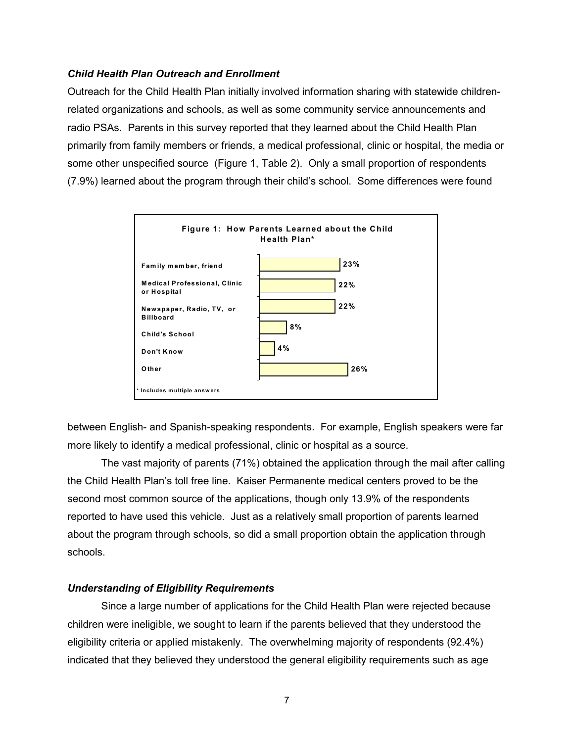#### *Child Health Plan Outreach and Enrollment*

Outreach for the Child Health Plan initially involved information sharing with statewide childrenrelated organizations and schools, as well as some community service announcements and radio PSAs. Parents in this survey reported that they learned about the Child Health Plan primarily from family members or friends, a medical professional, clinic or hospital, the media or some other unspecified source (Figure 1, Table 2). Only a small proportion of respondents (7.9%) learned about the program through their child's school. Some differences were found



between English- and Spanish-speaking respondents. For example, English speakers were far more likely to identify a medical professional, clinic or hospital as a source.

 The vast majority of parents (71%) obtained the application through the mail after calling the Child Health Plan's toll free line. Kaiser Permanente medical centers proved to be the second most common source of the applications, though only 13.9% of the respondents reported to have used this vehicle. Just as a relatively small proportion of parents learned about the program through schools, so did a small proportion obtain the application through schools.

#### *Understanding of Eligibility Requirements*

 Since a large number of applications for the Child Health Plan were rejected because children were ineligible, we sought to learn if the parents believed that they understood the eligibility criteria or applied mistakenly. The overwhelming majority of respondents (92.4%) indicated that they believed they understood the general eligibility requirements such as age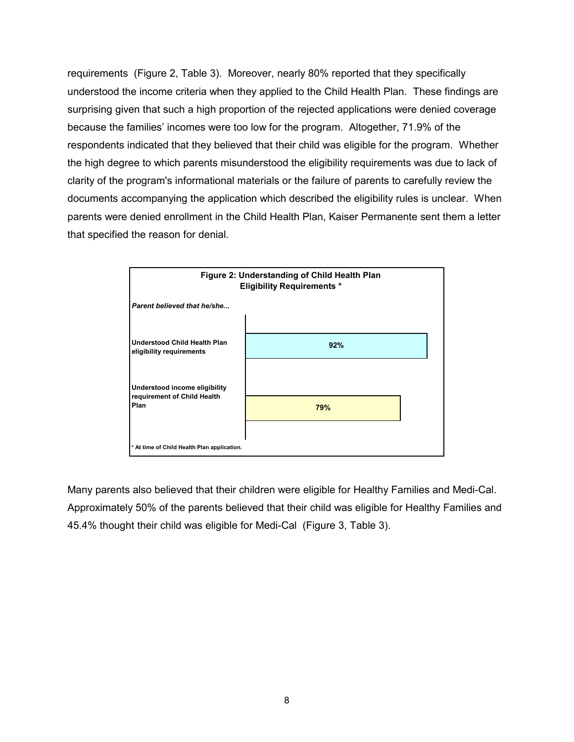requirements (Figure 2, Table 3). Moreover, nearly 80% reported that they specifically understood the income criteria when they applied to the Child Health Plan. These findings are surprising given that such a high proportion of the rejected applications were denied coverage because the families' incomes were too low for the program. Altogether, 71.9% of the respondents indicated that they believed that their child was eligible for the program. Whether the high degree to which parents misunderstood the eligibility requirements was due to lack of clarity of the program's informational materials or the failure of parents to carefully review the documents accompanying the application which described the eligibility rules is unclear. When parents were denied enrollment in the Child Health Plan, Kaiser Permanente sent them a letter that specified the reason for denial.



Many parents also believed that their children were eligible for Healthy Families and Medi-Cal. Approximately 50% of the parents believed that their child was eligible for Healthy Families and 45.4% thought their child was eligible for Medi-Cal (Figure 3, Table 3).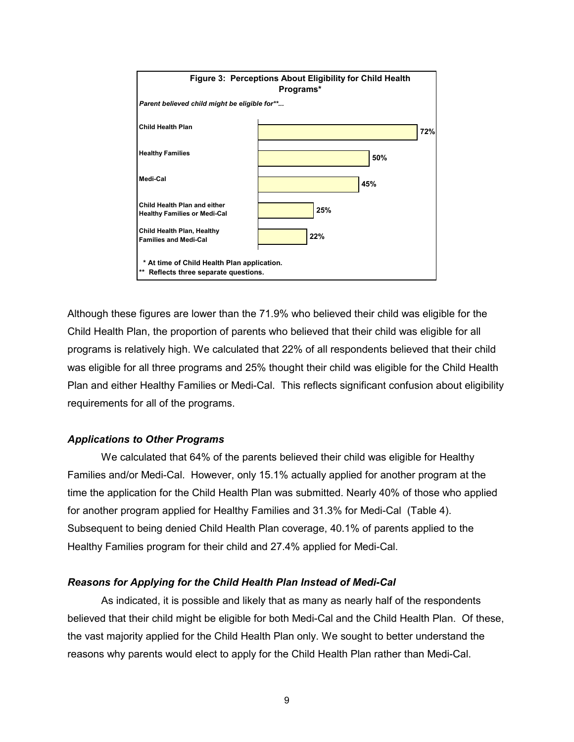

Although these figures are lower than the 71.9% who believed their child was eligible for the Child Health Plan, the proportion of parents who believed that their child was eligible for all programs is relatively high. We calculated that 22% of all respondents believed that their child was eligible for all three programs and 25% thought their child was eligible for the Child Health Plan and either Healthy Families or Medi-Cal. This reflects significant confusion about eligibility requirements for all of the programs.

#### *Applications to Other Programs*

We calculated that 64% of the parents believed their child was eligible for Healthy Families and/or Medi-Cal. However, only 15.1% actually applied for another program at the time the application for the Child Health Plan was submitted. Nearly 40% of those who applied for another program applied for Healthy Families and 31.3% for Medi-Cal (Table 4). Subsequent to being denied Child Health Plan coverage, 40.1% of parents applied to the Healthy Families program for their child and 27.4% applied for Medi-Cal.

#### *Reasons for Applying for the Child Health Plan Instead of Medi-Cal*

 As indicated, it is possible and likely that as many as nearly half of the respondents believed that their child might be eligible for both Medi-Cal and the Child Health Plan. Of these, the vast majority applied for the Child Health Plan only. We sought to better understand the reasons why parents would elect to apply for the Child Health Plan rather than Medi-Cal.

9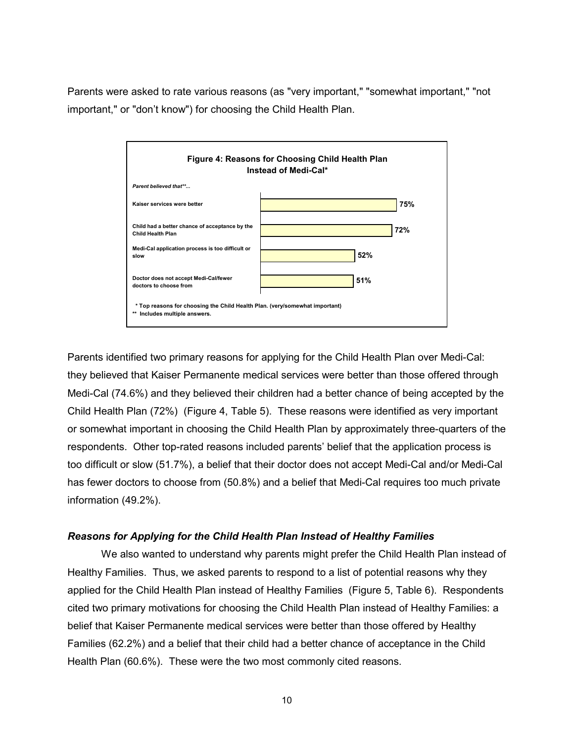Parents were asked to rate various reasons (as "very important," "somewhat important," "not important," or "don't know") for choosing the Child Health Plan.



Parents identified two primary reasons for applying for the Child Health Plan over Medi-Cal: they believed that Kaiser Permanente medical services were better than those offered through Medi-Cal (74.6%) and they believed their children had a better chance of being accepted by the Child Health Plan (72%) (Figure 4, Table 5). These reasons were identified as very important or somewhat important in choosing the Child Health Plan by approximately three-quarters of the respondents. Other top-rated reasons included parents' belief that the application process is too difficult or slow (51.7%), a belief that their doctor does not accept Medi-Cal and/or Medi-Cal has fewer doctors to choose from (50.8%) and a belief that Medi-Cal requires too much private information (49.2%).

#### *Reasons for Applying for the Child Health Plan Instead of Healthy Families*

We also wanted to understand why parents might prefer the Child Health Plan instead of Healthy Families. Thus, we asked parents to respond to a list of potential reasons why they applied for the Child Health Plan instead of Healthy Families (Figure 5, Table 6). Respondents cited two primary motivations for choosing the Child Health Plan instead of Healthy Families: a belief that Kaiser Permanente medical services were better than those offered by Healthy Families (62.2%) and a belief that their child had a better chance of acceptance in the Child Health Plan (60.6%). These were the two most commonly cited reasons.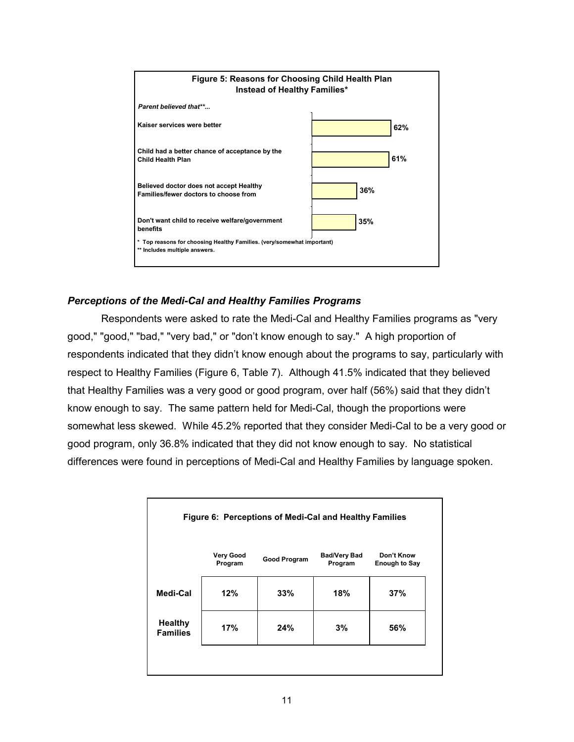

## *Perceptions of the Medi-Cal and Healthy Families Programs*

 Respondents were asked to rate the Medi-Cal and Healthy Families programs as "very good," "good," "bad," "very bad," or "don't know enough to say." A high proportion of respondents indicated that they didn't know enough about the programs to say, particularly with respect to Healthy Families (Figure 6, Table 7). Although 41.5% indicated that they believed that Healthy Families was a very good or good program, over half (56%) said that they didn't know enough to say. The same pattern held for Medi-Cal, though the proportions were somewhat less skewed. While 45.2% reported that they consider Medi-Cal to be a very good or good program, only 36.8% indicated that they did not know enough to say. No statistical differences were found in perceptions of Medi-Cal and Healthy Families by language spoken.

| Figure 6: Perceptions of Medi-Cal and Healthy Families |                             |              |                                |                                    |  |  |
|--------------------------------------------------------|-----------------------------|--------------|--------------------------------|------------------------------------|--|--|
|                                                        | <b>Very Good</b><br>Program | Good Program | <b>Bad/Very Bad</b><br>Program | Don't Know<br><b>Enough to Say</b> |  |  |
| Medi-Cal                                               | 12%                         | 33%          | 18%                            | 37%                                |  |  |
| <b>Healthy</b><br><b>Families</b>                      | 17%                         | 24%          | 3%                             | 56%                                |  |  |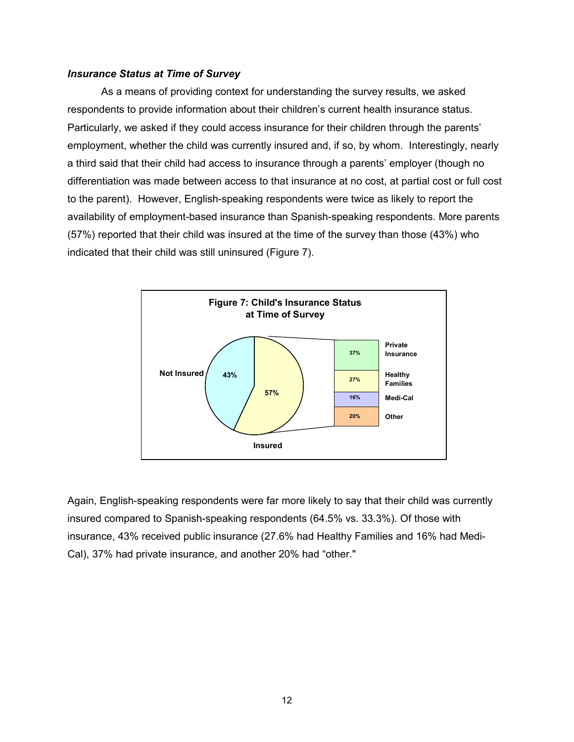#### *Insurance Status at Time of Survey*

 As a means of providing context for understanding the survey results, we asked respondents to provide information about their children's current health insurance status. Particularly, we asked if they could access insurance for their children through the parents' employment, whether the child was currently insured and, if so, by whom. Interestingly, nearly a third said that their child had access to insurance through a parents' employer (though no differentiation was made between access to that insurance at no cost, at partial cost or full cost to the parent). However, English-speaking respondents were twice as likely to report the availability of employment-based insurance than Spanish-speaking respondents. More parents (57%) reported that their child was insured at the time of the survey than those (43%) who indicated that their child was still uninsured (Figure 7).



Again, English-speaking respondents were far more likely to say that their child was currently insured compared to Spanish-speaking respondents (64.5% vs. 33.3%). Of those with insurance, 43% received public insurance (27.6% had Healthy Families and 16% had Medi-Cal), 37% had private insurance, and another 20% had "other."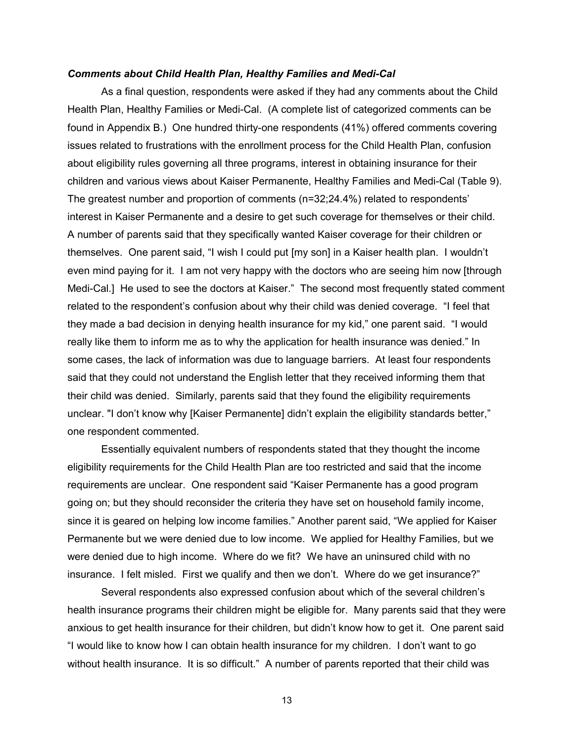#### *Comments about Child Health Plan, Healthy Families and Medi-Cal*

 As a final question, respondents were asked if they had any comments about the Child Health Plan, Healthy Families or Medi-Cal. (A complete list of categorized comments can be found in Appendix B.) One hundred thirty-one respondents (41%) offered comments covering issues related to frustrations with the enrollment process for the Child Health Plan, confusion about eligibility rules governing all three programs, interest in obtaining insurance for their children and various views about Kaiser Permanente, Healthy Families and Medi-Cal (Table 9). The greatest number and proportion of comments (n=32;24.4%) related to respondents' interest in Kaiser Permanente and a desire to get such coverage for themselves or their child. A number of parents said that they specifically wanted Kaiser coverage for their children or themselves. One parent said, "I wish I could put [my son] in a Kaiser health plan. I wouldn't even mind paying for it. I am not very happy with the doctors who are seeing him now [through Medi-Cal.] He used to see the doctors at Kaiser." The second most frequently stated comment related to the respondent's confusion about why their child was denied coverage. "I feel that they made a bad decision in denying health insurance for my kid," one parent said. "I would really like them to inform me as to why the application for health insurance was denied." In some cases, the lack of information was due to language barriers. At least four respondents said that they could not understand the English letter that they received informing them that their child was denied. Similarly, parents said that they found the eligibility requirements unclear. "I don't know why [Kaiser Permanente] didn't explain the eligibility standards better," one respondent commented.

 Essentially equivalent numbers of respondents stated that they thought the income eligibility requirements for the Child Health Plan are too restricted and said that the income requirements are unclear. One respondent said "Kaiser Permanente has a good program going on; but they should reconsider the criteria they have set on household family income, since it is geared on helping low income families." Another parent said, "We applied for Kaiser Permanente but we were denied due to low income. We applied for Healthy Families, but we were denied due to high income. Where do we fit? We have an uninsured child with no insurance. I felt misled. First we qualify and then we don't. Where do we get insurance?"

Several respondents also expressed confusion about which of the several children's health insurance programs their children might be eligible for. Many parents said that they were anxious to get health insurance for their children, but didn't know how to get it. One parent said "I would like to know how I can obtain health insurance for my children. I don't want to go without health insurance. It is so difficult." A number of parents reported that their child was

 $13$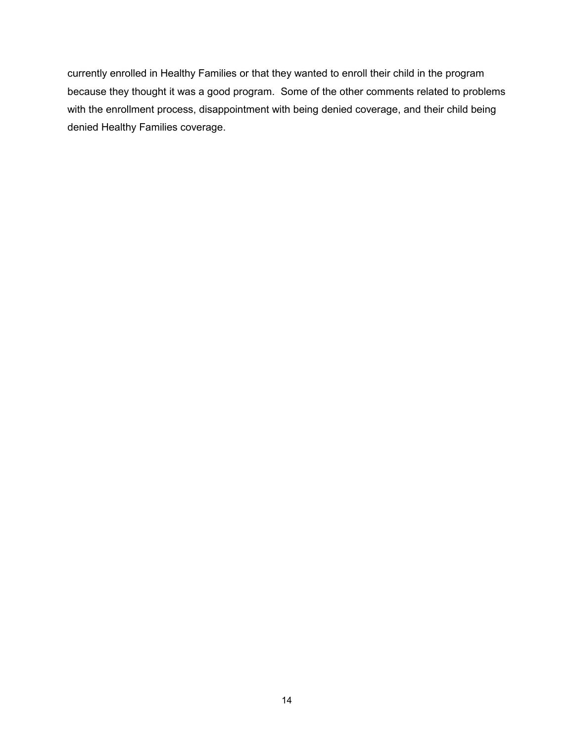currently enrolled in Healthy Families or that they wanted to enroll their child in the program because they thought it was a good program. Some of the other comments related to problems with the enrollment process, disappointment with being denied coverage, and their child being denied Healthy Families coverage.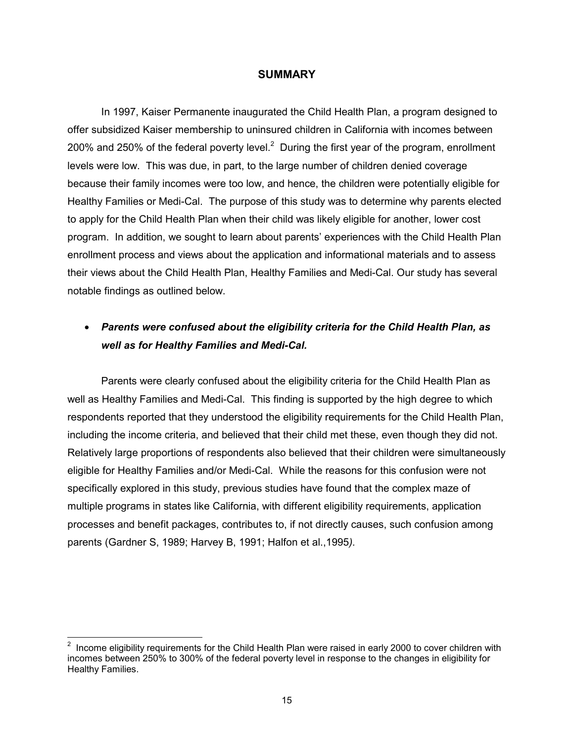#### **SUMMARY**

In 1997, Kaiser Permanente inaugurated the Child Health Plan, a program designed to offer subsidized Kaiser membership to uninsured children in California with incomes between 200% and 250% of the federal poverty level.<sup>2</sup> During the first year of the program, enrollment levels were low. This was due, in part, to the large number of children denied coverage because their family incomes were too low, and hence, the children were potentially eligible for Healthy Families or Medi-Cal. The purpose of this study was to determine why parents elected to apply for the Child Health Plan when their child was likely eligible for another, lower cost program. In addition, we sought to learn about parents' experiences with the Child Health Plan enrollment process and views about the application and informational materials and to assess their views about the Child Health Plan, Healthy Families and Medi-Cal. Our study has several notable findings as outlined below.

# • *Parents were confused about the eligibility criteria for the Child Health Plan, as well as for Healthy Families and Medi-Cal.*

Parents were clearly confused about the eligibility criteria for the Child Health Plan as well as Healthy Families and Medi-Cal. This finding is supported by the high degree to which respondents reported that they understood the eligibility requirements for the Child Health Plan, including the income criteria, and believed that their child met these, even though they did not. Relatively large proportions of respondents also believed that their children were simultaneously eligible for Healthy Families and/or Medi-Cal. While the reasons for this confusion were not specifically explored in this study, previous studies have found that the complex maze of multiple programs in states like California, with different eligibility requirements, application processes and benefit packages, contributes to, if not directly causes, such confusion among parents (Gardner S, 1989; Harvey B, 1991; Halfon et al.,1995*).*

 2 Income eligibility requirements for the Child Health Plan were raised in early 2000 to cover children with incomes between 250% to 300% of the federal poverty level in response to the changes in eligibility for Healthy Families.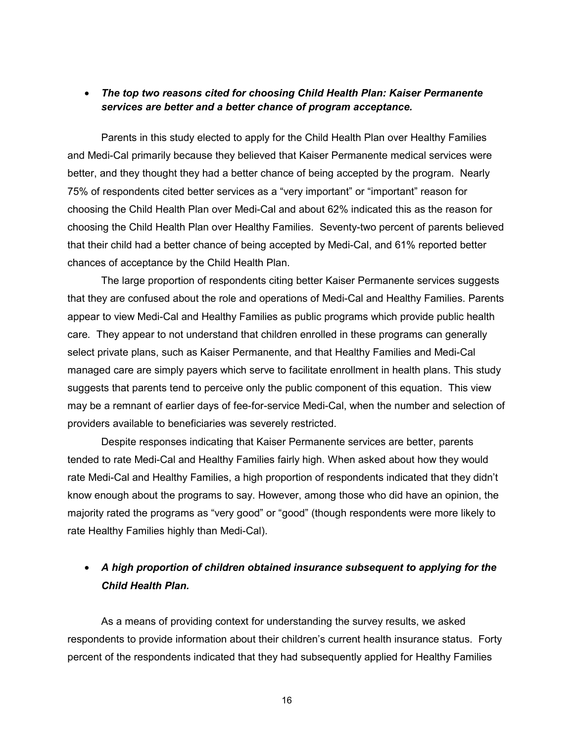## • *The top two reasons cited for choosing Child Health Plan: Kaiser Permanente services are better and a better chance of program acceptance.*

Parents in this study elected to apply for the Child Health Plan over Healthy Families and Medi-Cal primarily because they believed that Kaiser Permanente medical services were better, and they thought they had a better chance of being accepted by the program. Nearly 75% of respondents cited better services as a "very important" or "important" reason for choosing the Child Health Plan over Medi-Cal and about 62% indicated this as the reason for choosing the Child Health Plan over Healthy Families. Seventy-two percent of parents believed that their child had a better chance of being accepted by Medi-Cal, and 61% reported better chances of acceptance by the Child Health Plan.

The large proportion of respondents citing better Kaiser Permanente services suggests that they are confused about the role and operations of Medi-Cal and Healthy Families. Parents appear to view Medi-Cal and Healthy Families as public programs which provide public health care*.* They appear to not understand that children enrolled in these programs can generally select private plans, such as Kaiser Permanente, and that Healthy Families and Medi-Cal managed care are simply payers which serve to facilitate enrollment in health plans. This study suggests that parents tend to perceive only the public component of this equation. This view may be a remnant of earlier days of fee-for-service Medi-Cal, when the number and selection of providers available to beneficiaries was severely restricted.

Despite responses indicating that Kaiser Permanente services are better, parents tended to rate Medi-Cal and Healthy Families fairly high. When asked about how they would rate Medi-Cal and Healthy Families, a high proportion of respondents indicated that they didn't know enough about the programs to say. However, among those who did have an opinion, the majority rated the programs as "very good" or "good" (though respondents were more likely to rate Healthy Families highly than Medi-Cal).

# • *A high proportion of children obtained insurance subsequent to applying for the Child Health Plan.*

 As a means of providing context for understanding the survey results, we asked respondents to provide information about their children's current health insurance status. Forty percent of the respondents indicated that they had subsequently applied for Healthy Families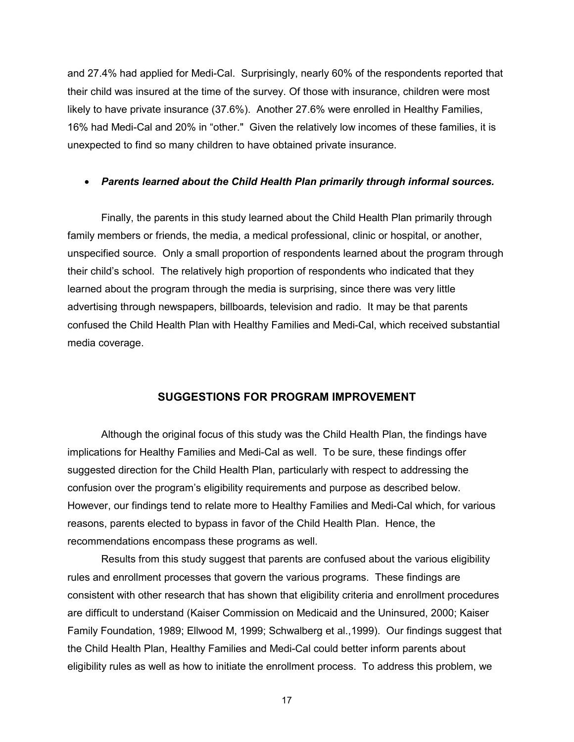and 27.4% had applied for Medi-Cal. Surprisingly, nearly 60% of the respondents reported that their child was insured at the time of the survey. Of those with insurance, children were most likely to have private insurance (37.6%). Another 27.6% were enrolled in Healthy Families, 16% had Medi-Cal and 20% in "other." Given the relatively low incomes of these families, it is unexpected to find so many children to have obtained private insurance.

#### • *Parents learned about the Child Health Plan primarily through informal sources.*

Finally, the parents in this study learned about the Child Health Plan primarily through family members or friends, the media, a medical professional, clinic or hospital, or another, unspecified source. Only a small proportion of respondents learned about the program through their child's school. The relatively high proportion of respondents who indicated that they learned about the program through the media is surprising, since there was very little advertising through newspapers, billboards, television and radio. It may be that parents confused the Child Health Plan with Healthy Families and Medi-Cal, which received substantial media coverage.

#### **SUGGESTIONS FOR PROGRAM IMPROVEMENT**

Although the original focus of this study was the Child Health Plan, the findings have implications for Healthy Families and Medi-Cal as well. To be sure, these findings offer suggested direction for the Child Health Plan, particularly with respect to addressing the confusion over the program's eligibility requirements and purpose as described below. However, our findings tend to relate more to Healthy Families and Medi-Cal which, for various reasons, parents elected to bypass in favor of the Child Health Plan. Hence, the recommendations encompass these programs as well.

Results from this study suggest that parents are confused about the various eligibility rules and enrollment processes that govern the various programs. These findings are consistent with other research that has shown that eligibility criteria and enrollment procedures are difficult to understand (Kaiser Commission on Medicaid and the Uninsured, 2000; Kaiser Family Foundation, 1989; Ellwood M, 1999; Schwalberg et al.,1999). Our findings suggest that the Child Health Plan, Healthy Families and Medi-Cal could better inform parents about eligibility rules as well as how to initiate the enrollment process. To address this problem, we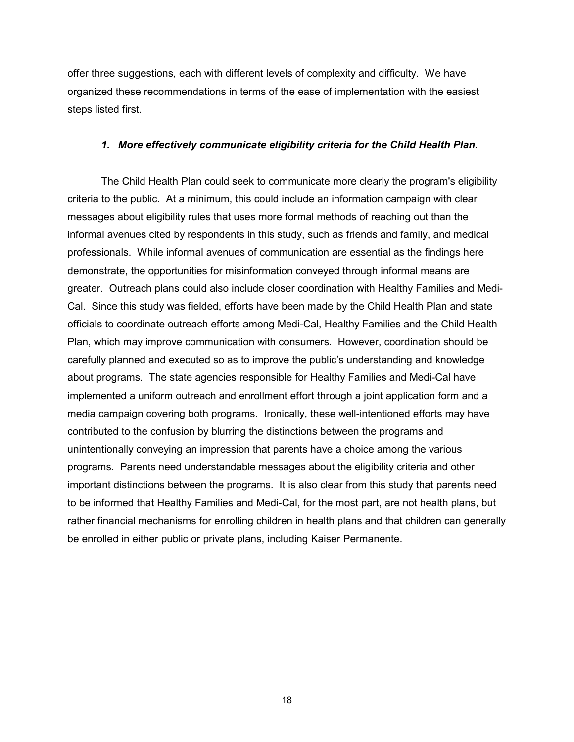offer three suggestions, each with different levels of complexity and difficulty. We have organized these recommendations in terms of the ease of implementation with the easiest steps listed first.

#### *1. More effectively communicate eligibility criteria for the Child Health Plan.*

The Child Health Plan could seek to communicate more clearly the program's eligibility criteria to the public. At a minimum, this could include an information campaign with clear messages about eligibility rules that uses more formal methods of reaching out than the informal avenues cited by respondents in this study, such as friends and family, and medical professionals. While informal avenues of communication are essential as the findings here demonstrate, the opportunities for misinformation conveyed through informal means are greater. Outreach plans could also include closer coordination with Healthy Families and Medi-Cal. Since this study was fielded, efforts have been made by the Child Health Plan and state officials to coordinate outreach efforts among Medi-Cal, Healthy Families and the Child Health Plan, which may improve communication with consumers. However, coordination should be carefully planned and executed so as to improve the public's understanding and knowledge about programs. The state agencies responsible for Healthy Families and Medi-Cal have implemented a uniform outreach and enrollment effort through a joint application form and a media campaign covering both programs. Ironically, these well-intentioned efforts may have contributed to the confusion by blurring the distinctions between the programs and unintentionally conveying an impression that parents have a choice among the various programs. Parents need understandable messages about the eligibility criteria and other important distinctions between the programs. It is also clear from this study that parents need to be informed that Healthy Families and Medi-Cal, for the most part, are not health plans, but rather financial mechanisms for enrolling children in health plans and that children can generally be enrolled in either public or private plans, including Kaiser Permanente.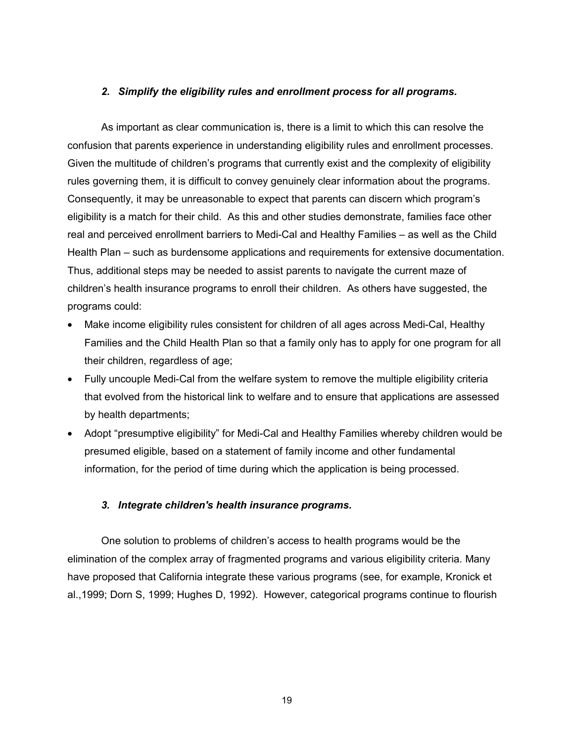#### *2. Simplify the eligibility rules and enrollment process for all programs.*

As important as clear communication is, there is a limit to which this can resolve the confusion that parents experience in understanding eligibility rules and enrollment processes. Given the multitude of children's programs that currently exist and the complexity of eligibility rules governing them, it is difficult to convey genuinely clear information about the programs. Consequently, it may be unreasonable to expect that parents can discern which program's eligibility is a match for their child. As this and other studies demonstrate, families face other real and perceived enrollment barriers to Medi-Cal and Healthy Families – as well as the Child Health Plan – such as burdensome applications and requirements for extensive documentation. Thus, additional steps may be needed to assist parents to navigate the current maze of children's health insurance programs to enroll their children. As others have suggested, the programs could:

- Make income eligibility rules consistent for children of all ages across Medi-Cal, Healthy Families and the Child Health Plan so that a family only has to apply for one program for all their children, regardless of age;
- Fully uncouple Medi-Cal from the welfare system to remove the multiple eligibility criteria that evolved from the historical link to welfare and to ensure that applications are assessed by health departments;
- Adopt "presumptive eligibility" for Medi-Cal and Healthy Families whereby children would be presumed eligible, based on a statement of family income and other fundamental information, for the period of time during which the application is being processed.

#### *3. Integrate children's health insurance programs.*

One solution to problems of children's access to health programs would be the elimination of the complex array of fragmented programs and various eligibility criteria. Many have proposed that California integrate these various programs (see, for example, Kronick et al.,1999; Dorn S, 1999; Hughes D, 1992). However, categorical programs continue to flourish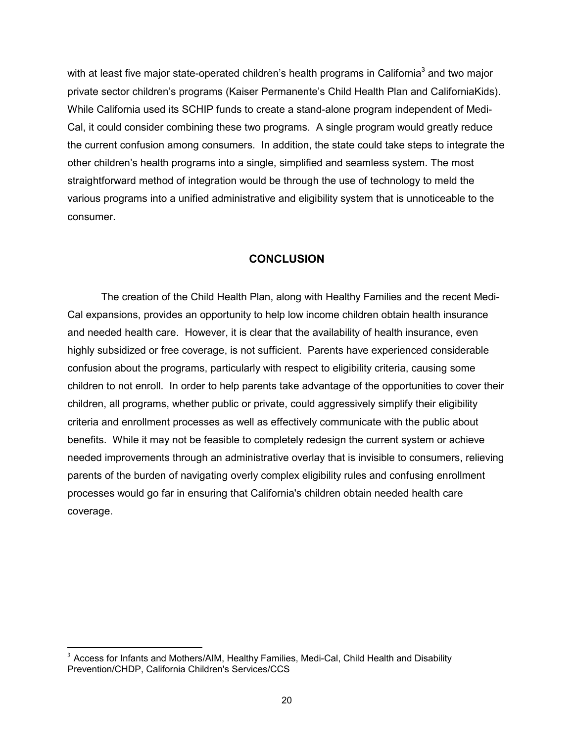with at least five major state-operated children's health programs in California $^3$  and two major private sector children's programs (Kaiser Permanente's Child Health Plan and CaliforniaKids). While California used its SCHIP funds to create a stand-alone program independent of Medi-Cal, it could consider combining these two programs. A single program would greatly reduce the current confusion among consumers. In addition, the state could take steps to integrate the other children's health programs into a single, simplified and seamless system. The most straightforward method of integration would be through the use of technology to meld the various programs into a unified administrative and eligibility system that is unnoticeable to the consumer.

#### **CONCLUSION**

The creation of the Child Health Plan, along with Healthy Families and the recent Medi-Cal expansions, provides an opportunity to help low income children obtain health insurance and needed health care. However, it is clear that the availability of health insurance, even highly subsidized or free coverage, is not sufficient. Parents have experienced considerable confusion about the programs, particularly with respect to eligibility criteria, causing some children to not enroll. In order to help parents take advantage of the opportunities to cover their children, all programs, whether public or private, could aggressively simplify their eligibility criteria and enrollment processes as well as effectively communicate with the public about benefits. While it may not be feasible to completely redesign the current system or achieve needed improvements through an administrative overlay that is invisible to consumers, relieving parents of the burden of navigating overly complex eligibility rules and confusing enrollment processes would go far in ensuring that California's children obtain needed health care coverage.

 $\overline{a}$ 

 $3$  Access for Infants and Mothers/AIM, Healthy Families, Medi-Cal, Child Health and Disability Prevention/CHDP, California Children's Services/CCS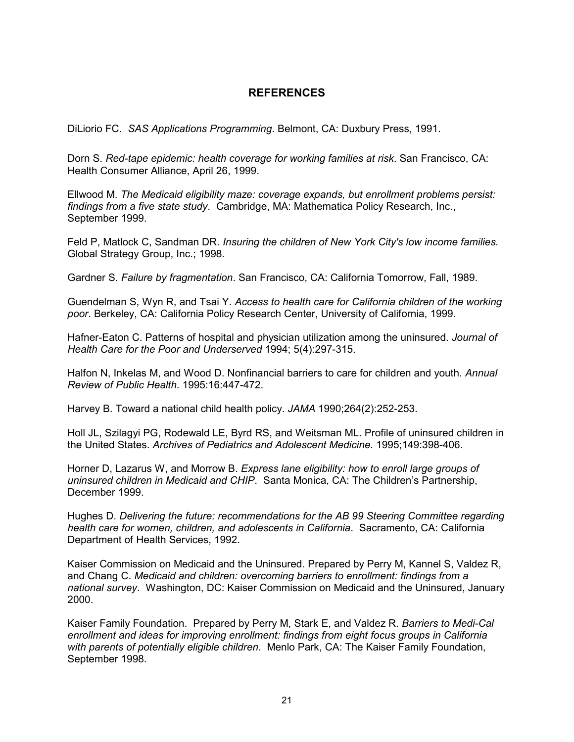## **REFERENCES**

DiLiorio FC. *SAS Applications Programming*. Belmont, CA: Duxbury Press, 1991.

Dorn S. *Red-tape epidemic: health coverage for working families at risk*. San Francisco, CA: Health Consumer Alliance, April 26, 1999.

Ellwood M. *The Medicaid eligibility maze: coverage expands, but enrollment problems persist: findings from a five state study*. Cambridge, MA: Mathematica Policy Research, Inc., September 1999.

Feld P, Matlock C, Sandman DR. *Insuring the children of New York City's low income families.*  Global Strategy Group, Inc.; 1998.

Gardner S. *Failure by fragmentation*. San Francisco, CA: California Tomorrow, Fall, 1989.

Guendelman S, Wyn R, and Tsai Y*. Access to health care for California children of the working poor*. Berkeley, CA: California Policy Research Center, University of California, 1999.

Hafner-Eaton C. Patterns of hospital and physician utilization among the uninsured. *Journal of Health Care for the Poor and Underserved* 1994; 5(4):297-315.

Halfon N, Inkelas M, and Wood D. Nonfinancial barriers to care for children and youth*. Annual Review of Public Health*. 1995:16:447-472.

Harvey B. Toward a national child health policy. *JAMA* 1990;264(2):252-253.

Holl JL, Szilagyi PG, Rodewald LE, Byrd RS, and Weitsman ML. Profile of uninsured children in the United States. *Archives of Pediatrics and Adolescent Medicine.* 1995;149:398-406.

Horner D, Lazarus W, and Morrow B. *Express lane eligibility: how to enroll large groups of uninsured children in Medicaid and CHIP*. Santa Monica, CA: The Children's Partnership, December 1999.

Hughes D. *Delivering the future: recommendations for the AB 99 Steering Committee regarding health care for women, children, and adolescents in California*. Sacramento, CA: California Department of Health Services, 1992.

Kaiser Commission on Medicaid and the Uninsured. Prepared by Perry M, Kannel S, Valdez R, and Chang C. *Medicaid and children: overcoming barriers to enrollment: findings from a national survey*. Washington, DC: Kaiser Commission on Medicaid and the Uninsured, January 2000.

Kaiser Family Foundation. Prepared by Perry M, Stark E, and Valdez R. *Barriers to Medi-Cal enrollment and ideas for improving enrollment: findings from eight focus groups in California with parents of potentially eligible children*. Menlo Park, CA: The Kaiser Family Foundation, September 1998.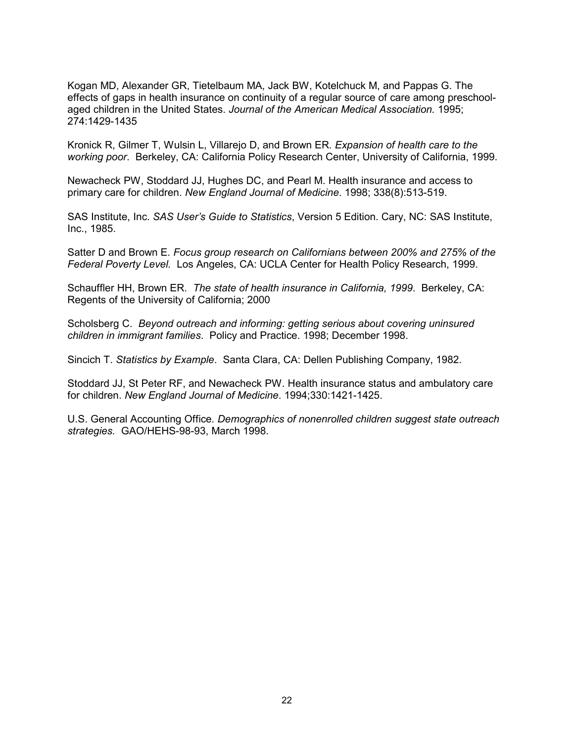Kogan MD, Alexander GR, Tietelbaum MA, Jack BW, Kotelchuck M, and Pappas G. The effects of gaps in health insurance on continuity of a regular source of care among preschoolaged children in the United States. *Journal of the American Medical Association.* 1995; 274:1429-1435

Kronick R, Gilmer T, Wulsin L, Villarejo D, and Brown ER*. Expansion of health care to the working poor*. Berkeley, CA: California Policy Research Center, University of California, 1999.

Newacheck PW, Stoddard JJ, Hughes DC, and Pearl M. Health insurance and access to primary care for children. *New England Journal of Medicine*. 1998; 338(8):513-519.

SAS Institute, Inc. *SAS User's Guide to Statistics*, Version 5 Edition. Cary, NC: SAS Institute, Inc., 1985.

Satter D and Brown E. *Focus group research on Californians between 200% and 275% of the Federal Poverty Level.* Los Angeles, CA: UCLA Center for Health Policy Research, 1999.

Schauffler HH, Brown ER. *The state of health insurance in California, 1999*. Berkeley, CA: Regents of the University of California; 2000

Scholsberg C. *Beyond outreach and informing: getting serious about covering uninsured children in immigrant families*. Policy and Practice. 1998; December 1998.

Sincich T. *Statistics by Example*. Santa Clara, CA: Dellen Publishing Company, 1982.

Stoddard JJ, St Peter RF, and Newacheck PW. Health insurance status and ambulatory care for children. *New England Journal of Medicine*. 1994;330:1421-1425.

U.S. General Accounting Office*. Demographics of nonenrolled children suggest state outreach strategies.* GAO/HEHS-98-93, March 1998.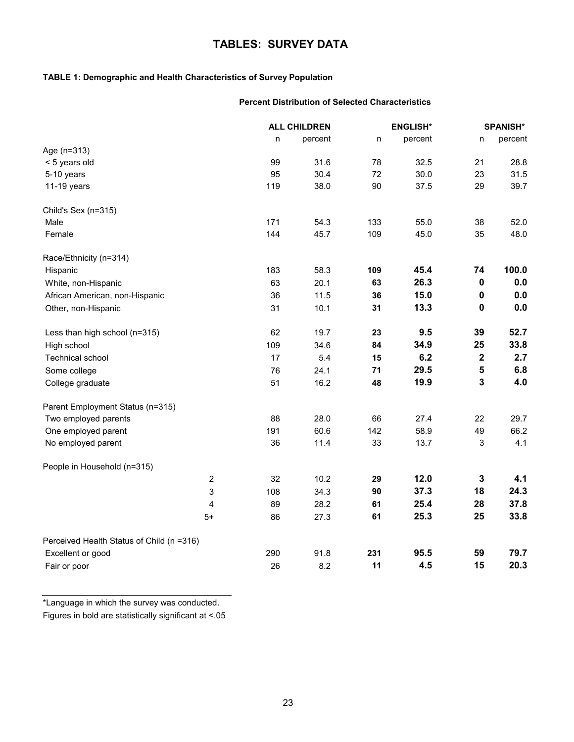# **TABLES: SURVEY DATA**

#### **TABLE 1: Demographic and Health Characteristics of Survey Population**

#### **Percent Distribution of Selected Characteristics**

|                                           |     | <b>ALL CHILDREN</b> | <b>ENGLISH*</b> |         | <b>SPANISH*</b> |         |
|-------------------------------------------|-----|---------------------|-----------------|---------|-----------------|---------|
|                                           | n   | percent             | n               | percent | n               | percent |
| Age (n=313)                               |     |                     |                 |         |                 |         |
| < 5 years old                             | 99  | 31.6                | 78              | 32.5    | 21              | 28.8    |
| 5-10 years                                | 95  | 30.4                | 72              | 30.0    | 23              | 31.5    |
| 11-19 years                               | 119 | 38.0                | 90              | 37.5    | 29              | 39.7    |
| Child's Sex (n=315)                       |     |                     |                 |         |                 |         |
| Male                                      | 171 | 54.3                | 133             | 55.0    | 38              | 52.0    |
| Female                                    | 144 | 45.7                | 109             | 45.0    | 35              | 48.0    |
| Race/Ethnicity (n=314)                    |     |                     |                 |         |                 |         |
| Hispanic                                  | 183 | 58.3                | 109             | 45.4    | 74              | 100.0   |
| White, non-Hispanic                       | 63  | 20.1                | 63              | 26.3    | $\pmb{0}$       | 0.0     |
| African American, non-Hispanic            | 36  | 11.5                | 36              | 15.0    | 0               | 0.0     |
| Other, non-Hispanic                       | 31  | 10.1                | 31              | 13.3    | 0               | 0.0     |
| Less than high school (n=315)             | 62  | 19.7                | 23              | 9.5     | 39              | 52.7    |
| High school                               | 109 | 34.6                | 84              | 34.9    | 25              | 33.8    |
| <b>Technical school</b>                   | 17  | 5.4                 | 15              | 6.2     | $\mathbf 2$     | 2.7     |
| Some college                              | 76  | 24.1                | 71              | 29.5    | 5               | 6.8     |
| College graduate                          | 51  | 16.2                | 48              | 19.9    | 3               | 4.0     |
| Parent Employment Status (n=315)          |     |                     |                 |         |                 |         |
| Two employed parents                      | 88  | 28.0                | 66              | 27.4    | 22              | 29.7    |
| One employed parent                       | 191 | 60.6                | 142             | 58.9    | 49              | 66.2    |
| No employed parent                        | 36  | 11.4                | 33              | 13.7    | $\mathsf 3$     | 4.1     |
| People in Household (n=315)               |     |                     |                 |         |                 |         |
| $\overline{2}$                            | 32  | 10.2                | 29              | 12.0    | 3               | 4.1     |
| 3                                         | 108 | 34.3                | 90              | 37.3    | 18              | 24.3    |
| 4                                         | 89  | 28.2                | 61              | 25.4    | 28              | 37.8    |
| $5+$                                      | 86  | 27.3                | 61              | 25.3    | 25              | 33.8    |
| Perceived Health Status of Child (n =316) |     |                     |                 |         |                 |         |
| Excellent or good                         | 290 | 91.8                | 231             | 95.5    | 59              | 79.7    |
| Fair or poor                              | 26  | 8.2                 | 11              | 4.5     | 15              | 20.3    |

\*Language in which the survey was conducted.

Figures in bold are statistically significant at <.05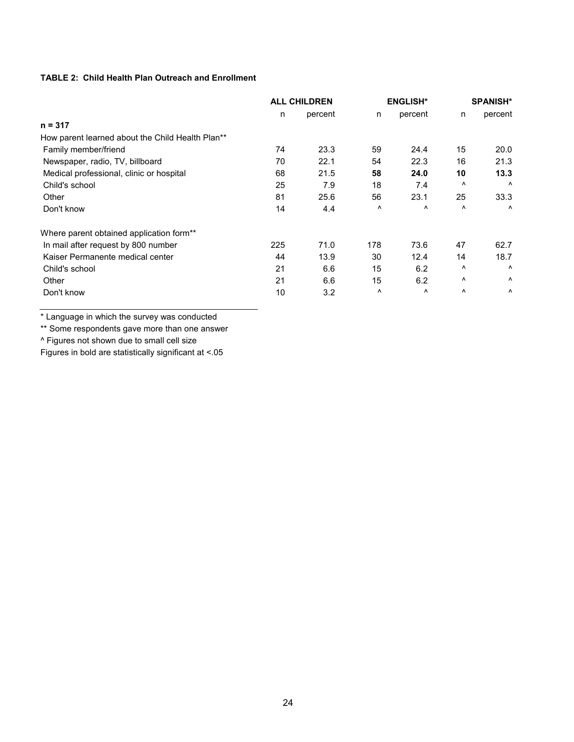#### **TABLE 2: Child Health Plan Outreach and Enrollment**

|                                                  | <b>ALL CHILDREN</b> |         | <b>ENGLISH*</b> |                       | <b>SPANISH*</b> |                       |
|--------------------------------------------------|---------------------|---------|-----------------|-----------------------|-----------------|-----------------------|
|                                                  | n                   | percent | n               | percent               | n               | percent               |
| $n = 317$                                        |                     |         |                 |                       |                 |                       |
| How parent learned about the Child Health Plan** |                     |         |                 |                       |                 |                       |
| Family member/friend                             | 74                  | 23.3    | 59              | 24.4                  | 15              | 20.0                  |
| Newspaper, radio, TV, billboard                  | 70                  | 22.1    | 54              | 22.3                  | 16              | 21.3                  |
| Medical professional, clinic or hospital         | 68                  | 21.5    | 58              | 24.0                  | 10              | 13.3                  |
| Child's school                                   | 25                  | 7.9     | 18              | 7.4                   | $\lambda$       | Λ                     |
| Other                                            | 81                  | 25.6    | 56              | 23.1                  | 25              | 33.3                  |
| Don't know                                       | 14                  | 4.4     | ٨               | Λ                     | $\wedge$        | $\boldsymbol{\wedge}$ |
| Where parent obtained application form**         |                     |         |                 |                       |                 |                       |
| In mail after request by 800 number              | 225                 | 71.0    | 178             | 73.6                  | 47              | 62.7                  |
| Kaiser Permanente medical center                 | 44                  | 13.9    | 30              | 12.4                  | 14              | 18.7                  |
| Child's school                                   | 21                  | 6.6     | 15              | 6.2                   | Λ               | Λ                     |
| Other                                            | 21                  | 6.6     | 15              | 6.2                   | Λ               | Λ                     |
| Don't know                                       | 10                  | 3.2     | ۸               | $\boldsymbol{\wedge}$ | ۸               | $\boldsymbol{\wedge}$ |

\* Language in which the survey was conducted

\*\* Some respondents gave more than one answer

^ Figures not shown due to small cell size

Figures in bold are statistically significant at <.05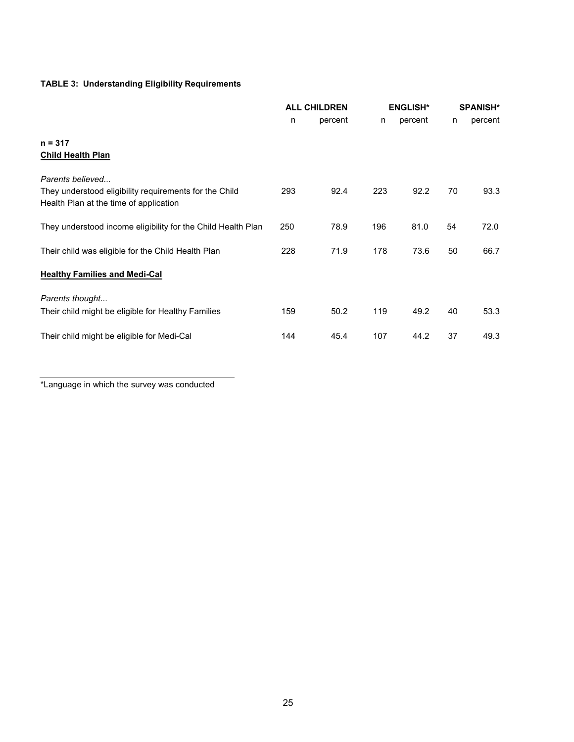## **TABLE 3: Understanding Eligibility Requirements**

|                                                                                                                      | <b>ALL CHILDREN</b> |         | <b>ENGLISH*</b> |         |    | <b>SPANISH*</b> |
|----------------------------------------------------------------------------------------------------------------------|---------------------|---------|-----------------|---------|----|-----------------|
|                                                                                                                      | n                   | percent | n               | percent | n  | percent         |
| $n = 317$<br><b>Child Health Plan</b>                                                                                |                     |         |                 |         |    |                 |
| Parents believed<br>They understood eligibility requirements for the Child<br>Health Plan at the time of application | 293                 | 92.4    | 223             | 92.2    | 70 | 93.3            |
| They understood income eligibility for the Child Health Plan                                                         | 250                 | 78.9    | 196             | 81.0    | 54 | 72.0            |
| Their child was eligible for the Child Health Plan                                                                   | 228                 | 71.9    | 178             | 73.6    | 50 | 66.7            |
| <b>Healthy Families and Medi-Cal</b>                                                                                 |                     |         |                 |         |    |                 |
| Parents thought<br>Their child might be eligible for Healthy Families                                                | 159                 | 50.2    | 119             | 49.2    | 40 | 53.3            |
| Their child might be eligible for Medi-Cal                                                                           | 144                 | 45.4    | 107             | 44.2    | 37 | 49.3            |

\*Language in which the survey was conducted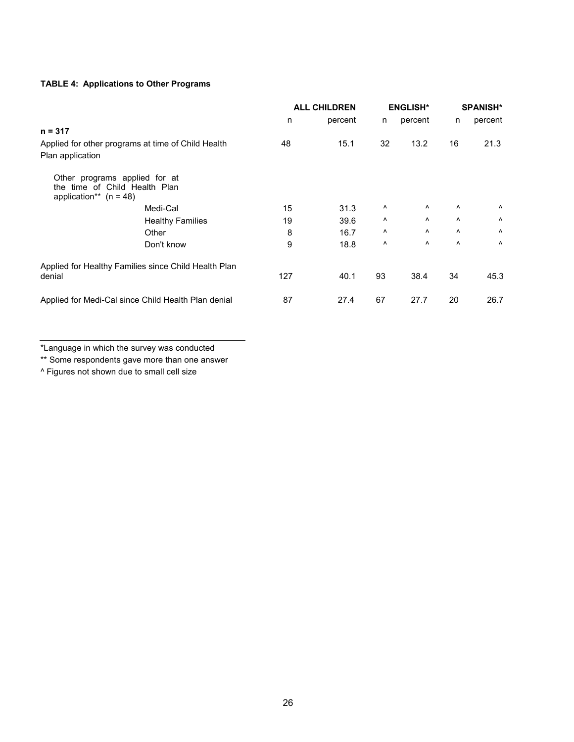## **TABLE 4: Applications to Other Programs**

|                                                                                            | <b>ALL CHILDREN</b> |         | <b>ENGLISH*</b> |                       | <b>SPANISH*</b> |                       |
|--------------------------------------------------------------------------------------------|---------------------|---------|-----------------|-----------------------|-----------------|-----------------------|
|                                                                                            | n                   | percent | n               | percent               | n               | percent               |
| $n = 317$                                                                                  |                     |         |                 |                       |                 |                       |
| Applied for other programs at time of Child Health<br>Plan application                     | 48                  | 15.1    | 32              | 13.2                  | 16              | 21.3                  |
| Other programs applied for at<br>the time of Child Health Plan<br>application** $(n = 48)$ |                     |         |                 |                       |                 |                       |
| Medi-Cal                                                                                   | 15                  | 31.3    | Λ               | $\boldsymbol{\wedge}$ | ۸               | Λ                     |
| <b>Healthy Families</b>                                                                    | 19                  | 39.6    | Λ               | $\boldsymbol{\wedge}$ | $\lambda$       | Λ                     |
| Other                                                                                      | 8                   | 16.7    | Λ               | $\boldsymbol{\wedge}$ | Λ               | $\boldsymbol{\wedge}$ |
| Don't know                                                                                 | 9                   | 18.8    | $\wedge$        | Λ                     | $\lambda$       | $\boldsymbol{\wedge}$ |
| Applied for Healthy Families since Child Health Plan<br>denial                             | 127                 | 40.1    | 93              | 38.4                  | 34              | 45.3                  |
| Applied for Medi-Cal since Child Health Plan denial                                        | 87                  | 27.4    | 67              | 27.7                  | 20              | 26.7                  |

\*Language in which the survey was conducted

\*\* Some respondents gave more than one answer

^ Figures not shown due to small cell size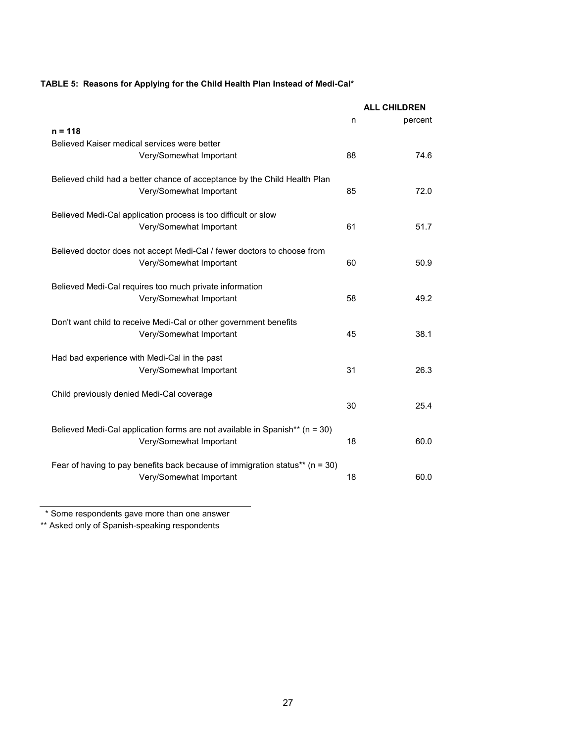## **TABLE 5: Reasons for Applying for the Child Health Plan Instead of Medi-Cal\***

|                                                                                  |    | <b>ALL CHILDREN</b> |
|----------------------------------------------------------------------------------|----|---------------------|
|                                                                                  | n  | percent             |
| $n = 118$                                                                        |    |                     |
| Believed Kaiser medical services were better                                     |    |                     |
| Very/Somewhat Important                                                          | 88 | 74.6                |
| Believed child had a better chance of acceptance by the Child Health Plan        |    |                     |
| Very/Somewhat Important                                                          | 85 | 72.0                |
| Believed Medi-Cal application process is too difficult or slow                   |    |                     |
| Very/Somewhat Important                                                          | 61 | 51.7                |
| Believed doctor does not accept Medi-Cal / fewer doctors to choose from          |    |                     |
| Very/Somewhat Important                                                          | 60 | 50.9                |
| Believed Medi-Cal requires too much private information                          |    |                     |
| Very/Somewhat Important                                                          | 58 | 49.2                |
| Don't want child to receive Medi-Cal or other government benefits                |    |                     |
| Very/Somewhat Important                                                          | 45 | 38.1                |
| Had bad experience with Medi-Cal in the past                                     |    |                     |
| Very/Somewhat Important                                                          | 31 | 26.3                |
| Child previously denied Medi-Cal coverage                                        |    |                     |
|                                                                                  | 30 | 25.4                |
| Believed Medi-Cal application forms are not available in Spanish** (n = 30)      |    |                     |
| Very/Somewhat Important                                                          | 18 | 60.0                |
| Fear of having to pay benefits back because of immigration status** ( $n = 30$ ) |    |                     |
| Very/Somewhat Important                                                          | 18 | 60.0                |

\* Some respondents gave more than one answer

\*\* Asked only of Spanish-speaking respondents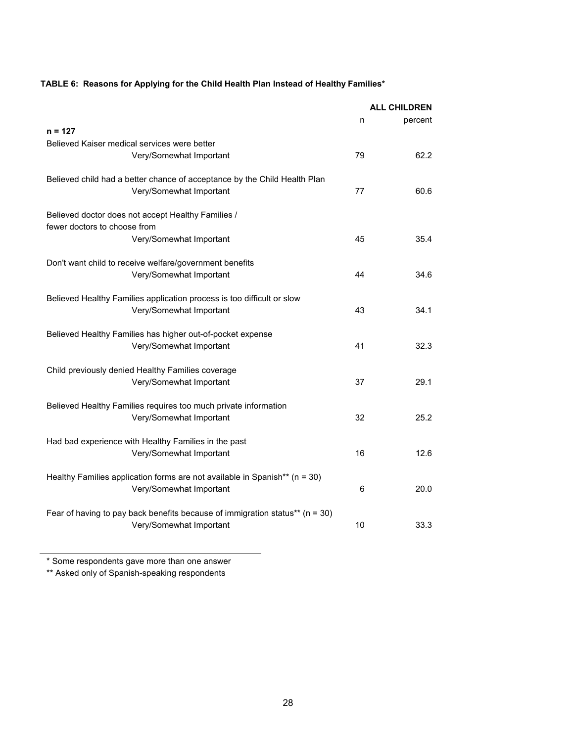## **TABLE 6: Reasons for Applying for the Child Health Plan Instead of Healthy Families\***

|                                                                                                             |    | <b>ALL CHILDREN</b> |
|-------------------------------------------------------------------------------------------------------------|----|---------------------|
|                                                                                                             | n  | percent             |
| $n = 127$                                                                                                   |    |                     |
| Believed Kaiser medical services were better                                                                |    |                     |
| Very/Somewhat Important                                                                                     | 79 | 62.2                |
| Believed child had a better chance of acceptance by the Child Health Plan                                   |    |                     |
| Very/Somewhat Important                                                                                     | 77 | 60.6                |
|                                                                                                             |    |                     |
| Believed doctor does not accept Healthy Families /                                                          |    |                     |
| fewer doctors to choose from                                                                                |    |                     |
| Very/Somewhat Important                                                                                     | 45 | 35.4                |
| Don't want child to receive welfare/government benefits                                                     |    |                     |
| Very/Somewhat Important                                                                                     | 44 | 34.6                |
|                                                                                                             |    |                     |
| Believed Healthy Families application process is too difficult or slow                                      |    |                     |
| Very/Somewhat Important                                                                                     | 43 | 34.1                |
|                                                                                                             |    |                     |
| Believed Healthy Families has higher out-of-pocket expense                                                  |    |                     |
| Very/Somewhat Important                                                                                     | 41 | 32.3                |
| Child previously denied Healthy Families coverage                                                           |    |                     |
| Very/Somewhat Important                                                                                     | 37 | 29.1                |
|                                                                                                             |    |                     |
| Believed Healthy Families requires too much private information                                             |    |                     |
| Very/Somewhat Important                                                                                     | 32 | 25.2                |
| Had bad experience with Healthy Families in the past                                                        |    |                     |
| Very/Somewhat Important                                                                                     | 16 | 12.6                |
|                                                                                                             |    |                     |
| Healthy Families application forms are not available in Spanish** (n = 30)                                  |    |                     |
| Very/Somewhat Important                                                                                     | 6  | 20.0                |
|                                                                                                             |    |                     |
| Fear of having to pay back benefits because of immigration status** ( $n = 30$ )<br>Very/Somewhat Important | 10 | 33.3                |
|                                                                                                             |    |                     |

\* Some respondents gave more than one answer

\*\* Asked only of Spanish-speaking respondents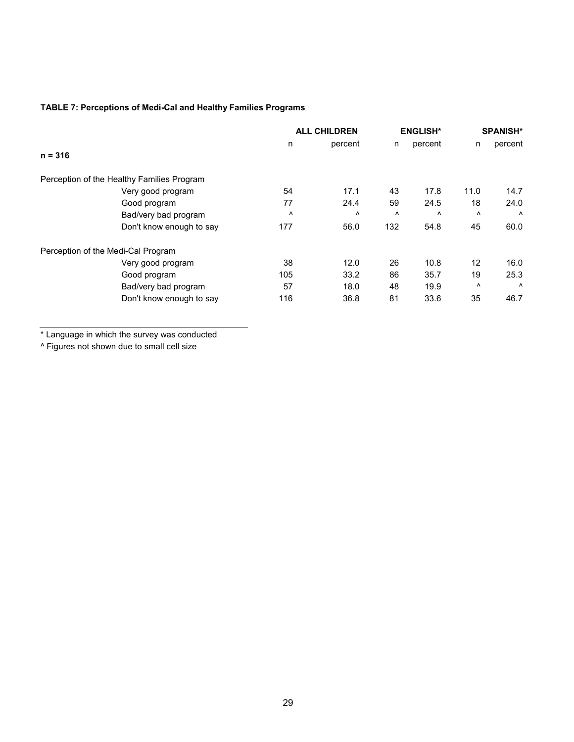## **TABLE 7: Perceptions of Medi-Cal and Healthy Families Programs**

|                                            | <b>ALL CHILDREN</b> |         | <b>ENGLISH*</b> |           | <b>SPANISH*</b> |         |
|--------------------------------------------|---------------------|---------|-----------------|-----------|-----------------|---------|
|                                            | n                   | percent | n               | percent   | n               | percent |
| $n = 316$                                  |                     |         |                 |           |                 |         |
| Perception of the Healthy Families Program |                     |         |                 |           |                 |         |
| Very good program                          | 54                  | 17.1    | 43              | 17.8      | 11.0            | 14.7    |
| Good program                               | 77                  | 24.4    | 59              | 24.5      | 18              | 24.0    |
| Bad/very bad program                       | $\lambda$           | Λ       | $\lambda$       | $\lambda$ | $\wedge$        | Λ       |
| Don't know enough to say                   | 177                 | 56.0    | 132             | 54.8      | 45              | 60.0    |
| Perception of the Medi-Cal Program         |                     |         |                 |           |                 |         |
| Very good program                          | 38                  | 12.0    | 26              | 10.8      | 12              | 16.0    |
| Good program                               | 105                 | 33.2    | 86              | 35.7      | 19              | 25.3    |
| Bad/very bad program                       | 57                  | 18.0    | 48              | 19.9      | ٨               | Λ       |
| Don't know enough to say                   | 116                 | 36.8    | 81              | 33.6      | 35              | 46.7    |

\* Language in which the survey was conducted

^ Figures not shown due to small cell size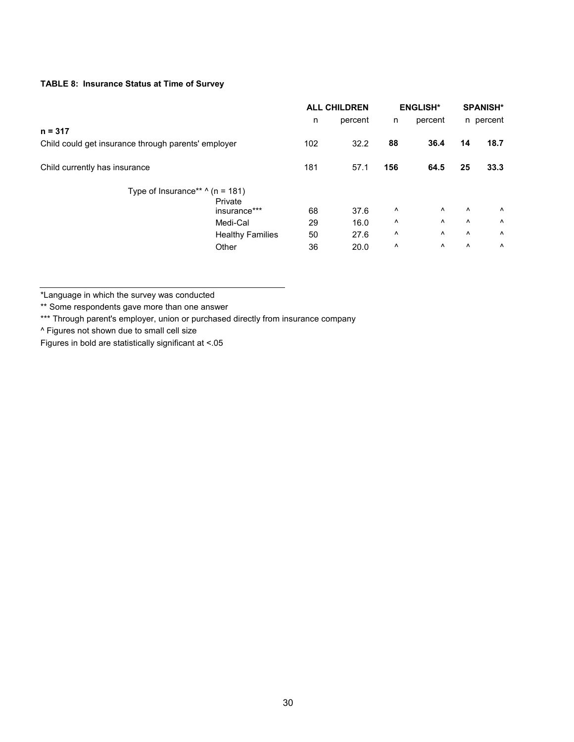## **TABLE 8: Insurance Status at Time of Survey**

|                                                     |                         | <b>ALL CHILDREN</b> |         | <b>ENGLISH*</b> |                       |                       | <b>SPANISH*</b> |
|-----------------------------------------------------|-------------------------|---------------------|---------|-----------------|-----------------------|-----------------------|-----------------|
|                                                     |                         | n.                  | percent | n               | percent               |                       | n percent       |
| n = 317                                             |                         |                     |         |                 |                       |                       |                 |
| Child could get insurance through parents' employer |                         | 102                 | 32.2    | 88              | 36.4                  | 14                    | 18.7            |
| Child currently has insurance                       |                         | 181                 | 57.1    | 156             | 64.5                  | 25                    | 33.3            |
| Type of Insurance** $\land$ (n = 181)               |                         |                     |         |                 |                       |                       |                 |
|                                                     | Private                 |                     |         |                 |                       |                       |                 |
|                                                     | insurance***            | 68                  | 37.6    | ٨               | $\boldsymbol{\wedge}$ | $\Lambda$             | Λ               |
|                                                     | Medi-Cal                | 29                  | 16.0    | Λ               | $\boldsymbol{\wedge}$ | $\Lambda$             | $\Lambda$       |
|                                                     | <b>Healthy Families</b> | 50                  | 27.6    | Λ               | ۸                     | $\Lambda$             | $\Lambda$       |
|                                                     | Other                   | 36                  | 20.0    | ۸               | ۸                     | $\boldsymbol{\wedge}$ | $\Lambda$       |
|                                                     |                         |                     |         |                 |                       |                       |                 |

\*Language in which the survey was conducted

\*\* Some respondents gave more than one answer

\*\*\* Through parent's employer, union or purchased directly from insurance company

^ Figures not shown due to small cell size

Figures in bold are statistically significant at <.05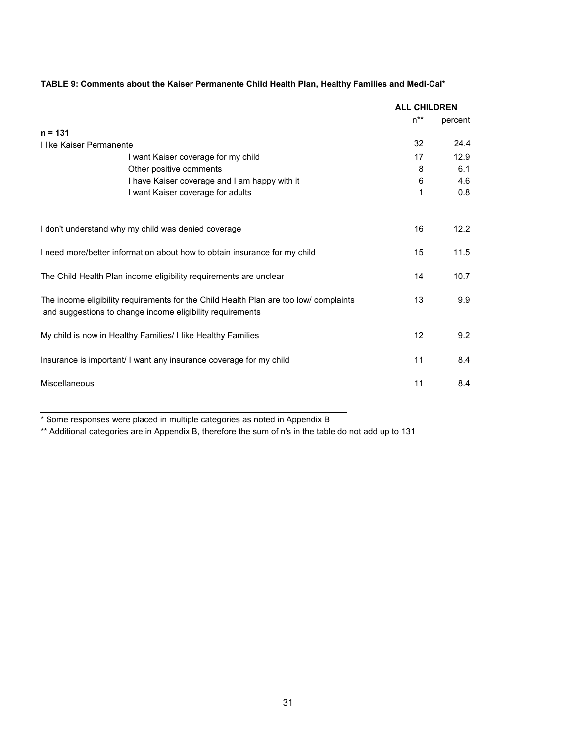|                                                                                                                                                    | <b>ALL CHILDREN</b> |         |
|----------------------------------------------------------------------------------------------------------------------------------------------------|---------------------|---------|
|                                                                                                                                                    | $n^{**}$            | percent |
| $n = 131$                                                                                                                                          |                     |         |
| I like Kaiser Permanente                                                                                                                           | 32                  | 24.4    |
| I want Kaiser coverage for my child                                                                                                                | 17                  | 12.9    |
| Other positive comments                                                                                                                            | 8                   | 6.1     |
| I have Kaiser coverage and I am happy with it                                                                                                      | 6                   | 4.6     |
| I want Kaiser coverage for adults                                                                                                                  | 1                   | 0.8     |
| I don't understand why my child was denied coverage                                                                                                | 16                  | 12.2    |
|                                                                                                                                                    |                     |         |
| I need more/better information about how to obtain insurance for my child                                                                          | 15                  | 11.5    |
| The Child Health Plan income eligibility requirements are unclear                                                                                  | 14                  | 10.7    |
| The income eligibility requirements for the Child Health Plan are too low/ complaints<br>and suggestions to change income eligibility requirements | 13                  | 9.9     |
| My child is now in Healthy Families/ I like Healthy Families                                                                                       | 12                  | 9.2     |
| Insurance is important/ I want any insurance coverage for my child                                                                                 | 11                  | 8.4     |
| Miscellaneous                                                                                                                                      | 11                  | 8.4     |

## **TABLE 9: Comments about the Kaiser Permanente Child Health Plan, Healthy Families and Medi-Cal\***

\* Some responses were placed in multiple categories as noted in Appendix B

\*\* Additional categories are in Appendix B, therefore the sum of n's in the table do not add up to 131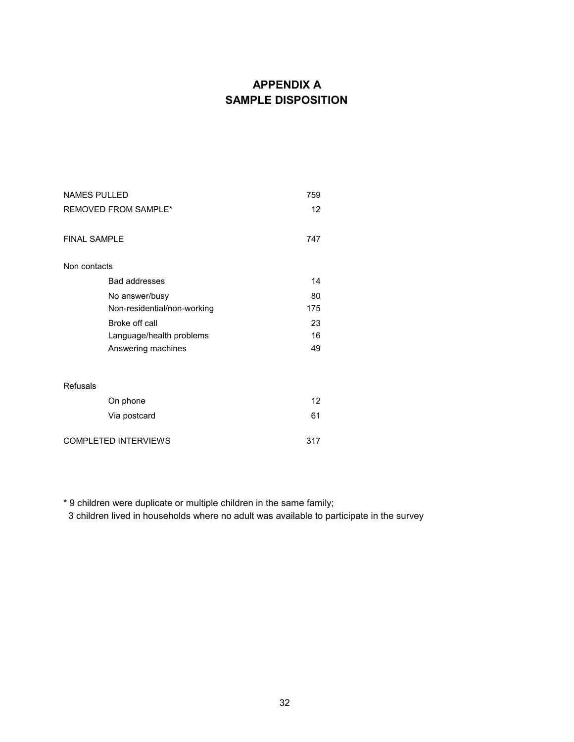# **APPENDIX A SAMPLE DISPOSITION**

| <b>NAMES PULLED</b>         |                             | 759 |  |
|-----------------------------|-----------------------------|-----|--|
| <b>REMOVED FROM SAMPLE*</b> |                             | 12  |  |
| <b>FINAL SAMPLE</b>         |                             | 747 |  |
| Non contacts                |                             |     |  |
|                             | <b>Bad addresses</b>        | 14  |  |
|                             | No answer/busy              | 80  |  |
|                             | Non-residential/non-working | 175 |  |
|                             | Broke off call              | 23  |  |
|                             | Language/health problems    | 16  |  |
|                             | Answering machines          | 49  |  |
| <b>Refusals</b>             |                             |     |  |
|                             | On phone                    | 12  |  |
|                             | Via postcard                | 61  |  |
| <b>COMPLETED INTERVIEWS</b> |                             | 317 |  |

\* 9 children were duplicate or multiple children in the same family;

3 children lived in households where no adult was available to participate in the survey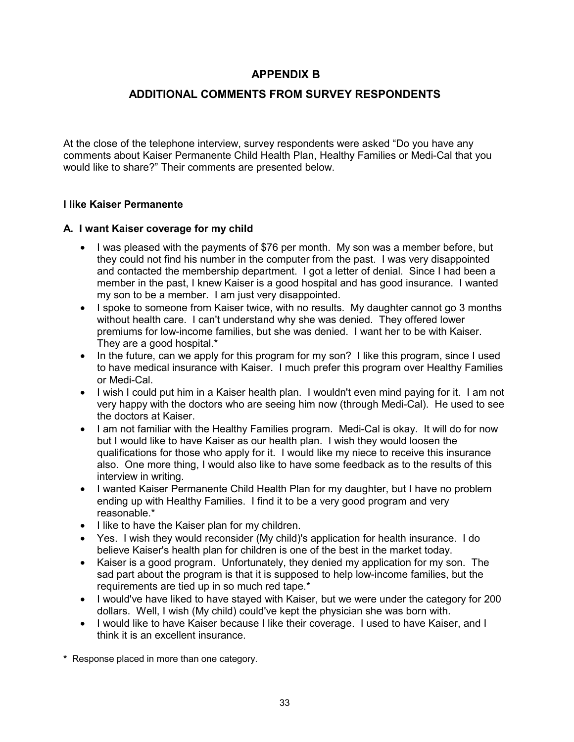## **APPENDIX B**

## **ADDITIONAL COMMENTS FROM SURVEY RESPONDENTS**

At the close of the telephone interview, survey respondents were asked "Do you have any comments about Kaiser Permanente Child Health Plan, Healthy Families or Medi-Cal that you would like to share?" Their comments are presented below.

#### **I like Kaiser Permanente**

#### **A. I want Kaiser coverage for my child**

- I was pleased with the payments of \$76 per month. My son was a member before, but they could not find his number in the computer from the past. I was very disappointed and contacted the membership department. I got a letter of denial. Since I had been a member in the past, I knew Kaiser is a good hospital and has good insurance. I wanted my son to be a member. I am just very disappointed.
- I spoke to someone from Kaiser twice, with no results. My daughter cannot go 3 months without health care. I can't understand why she was denied. They offered lower premiums for low-income families, but she was denied. I want her to be with Kaiser. They are a good hospital.\*
- In the future, can we apply for this program for my son? I like this program, since I used to have medical insurance with Kaiser. I much prefer this program over Healthy Families or Medi-Cal.
- I wish I could put him in a Kaiser health plan. I wouldn't even mind paying for it. I am not very happy with the doctors who are seeing him now (through Medi-Cal). He used to see the doctors at Kaiser.
- I am not familiar with the Healthy Families program. Medi-Cal is okay. It will do for now but I would like to have Kaiser as our health plan. I wish they would loosen the qualifications for those who apply for it. I would like my niece to receive this insurance also. One more thing, I would also like to have some feedback as to the results of this interview in writing.
- I wanted Kaiser Permanente Child Health Plan for my daughter, but I have no problem ending up with Healthy Families. I find it to be a very good program and very reasonable.\*
- I like to have the Kaiser plan for my children.
- Yes. I wish they would reconsider (My child)'s application for health insurance. I do believe Kaiser's health plan for children is one of the best in the market today.
- Kaiser is a good program. Unfortunately, they denied my application for my son. The sad part about the program is that it is supposed to help low-income families, but the requirements are tied up in so much red tape.\*
- I would've have liked to have stayed with Kaiser, but we were under the category for 200 dollars. Well, I wish (My child) could've kept the physician she was born with.
- I would like to have Kaiser because I like their coverage. I used to have Kaiser, and I think it is an excellent insurance.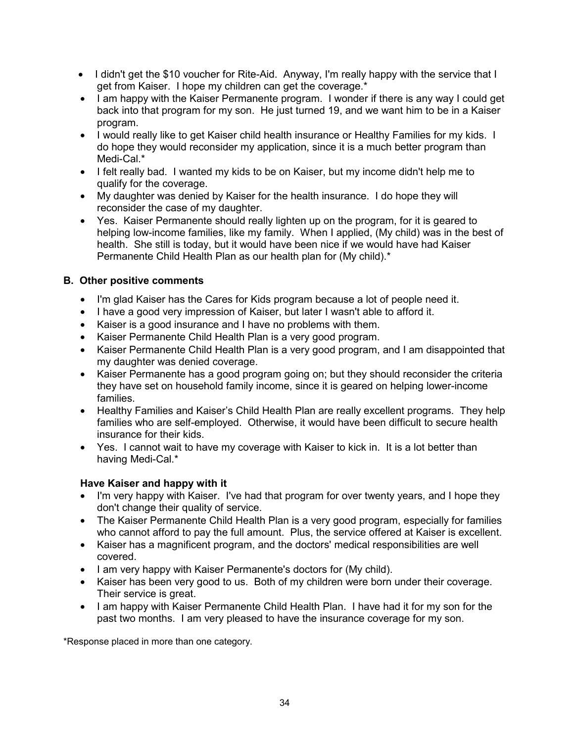- I didn't get the \$10 voucher for Rite-Aid. Anyway, I'm really happy with the service that I get from Kaiser. I hope my children can get the coverage.\*
- I am happy with the Kaiser Permanente program. I wonder if there is any way I could get back into that program for my son. He just turned 19, and we want him to be in a Kaiser program.
- I would really like to get Kaiser child health insurance or Healthy Families for my kids. I do hope they would reconsider my application, since it is a much better program than Medi-Cal<sup>\*</sup>
- I felt really bad. I wanted my kids to be on Kaiser, but my income didn't help me to qualify for the coverage.
- My daughter was denied by Kaiser for the health insurance. I do hope they will reconsider the case of my daughter.
- Yes. Kaiser Permanente should really lighten up on the program, for it is geared to helping low-income families, like my family. When I applied, (My child) was in the best of health. She still is today, but it would have been nice if we would have had Kaiser Permanente Child Health Plan as our health plan for (My child).\*

## **B. Other positive comments**

- I'm glad Kaiser has the Cares for Kids program because a lot of people need it.
- I have a good very impression of Kaiser, but later I wasn't able to afford it.
- Kaiser is a good insurance and I have no problems with them.
- Kaiser Permanente Child Health Plan is a very good program.
- Kaiser Permanente Child Health Plan is a very good program, and I am disappointed that my daughter was denied coverage.
- Kaiser Permanente has a good program going on; but they should reconsider the criteria they have set on household family income, since it is geared on helping lower-income families.
- Healthy Families and Kaiser's Child Health Plan are really excellent programs. They help families who are self-employed. Otherwise, it would have been difficult to secure health insurance for their kids.
- Yes. I cannot wait to have my coverage with Kaiser to kick in. It is a lot better than having Medi-Cal.\*

## **Have Kaiser and happy with it**

- I'm very happy with Kaiser. I've had that program for over twenty years, and I hope they don't change their quality of service.
- The Kaiser Permanente Child Health Plan is a very good program, especially for families who cannot afford to pay the full amount. Plus, the service offered at Kaiser is excellent.
- Kaiser has a magnificent program, and the doctors' medical responsibilities are well covered.
- I am very happy with Kaiser Permanente's doctors for (My child).
- Kaiser has been very good to us. Both of my children were born under their coverage. Their service is great.
- I am happy with Kaiser Permanente Child Health Plan. I have had it for my son for the past two months. I am very pleased to have the insurance coverage for my son.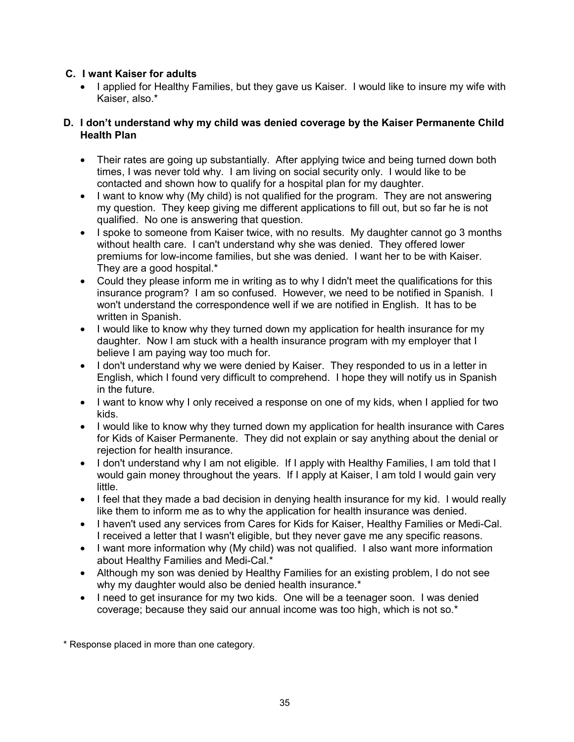## **C. I want Kaiser for adults**

• I applied for Healthy Families, but they gave us Kaiser. I would like to insure my wife with Kaiser, also.\*

#### **D. I don't understand why my child was denied coverage by the Kaiser Permanente Child Health Plan**

- Their rates are going up substantially. After applying twice and being turned down both times, I was never told why. I am living on social security only. I would like to be contacted and shown how to qualify for a hospital plan for my daughter.
- I want to know why (My child) is not qualified for the program. They are not answering my question. They keep giving me different applications to fill out, but so far he is not qualified. No one is answering that question.
- I spoke to someone from Kaiser twice, with no results. My daughter cannot go 3 months without health care. I can't understand why she was denied. They offered lower premiums for low-income families, but she was denied. I want her to be with Kaiser. They are a good hospital.\*
- Could they please inform me in writing as to why I didn't meet the qualifications for this insurance program? I am so confused. However, we need to be notified in Spanish. I won't understand the correspondence well if we are notified in English. It has to be written in Spanish.
- I would like to know why they turned down my application for health insurance for my daughter. Now I am stuck with a health insurance program with my employer that I believe I am paying way too much for.
- I don't understand why we were denied by Kaiser. They responded to us in a letter in English, which I found very difficult to comprehend. I hope they will notify us in Spanish in the future.
- I want to know why I only received a response on one of my kids, when I applied for two kids.
- I would like to know why they turned down my application for health insurance with Cares for Kids of Kaiser Permanente. They did not explain or say anything about the denial or rejection for health insurance.
- I don't understand why I am not eligible. If I apply with Healthy Families, I am told that I would gain money throughout the years. If I apply at Kaiser, I am told I would gain very little.
- I feel that they made a bad decision in denying health insurance for my kid. I would really like them to inform me as to why the application for health insurance was denied.
- I haven't used any services from Cares for Kids for Kaiser, Healthy Families or Medi-Cal. I received a letter that I wasn't eligible, but they never gave me any specific reasons.
- I want more information why (My child) was not qualified. I also want more information about Healthy Families and Medi-Cal.\*
- Although my son was denied by Healthy Families for an existing problem, I do not see why my daughter would also be denied health insurance.<sup>\*</sup>
- I need to get insurance for my two kids. One will be a teenager soon. I was denied coverage; because they said our annual income was too high, which is not so.\*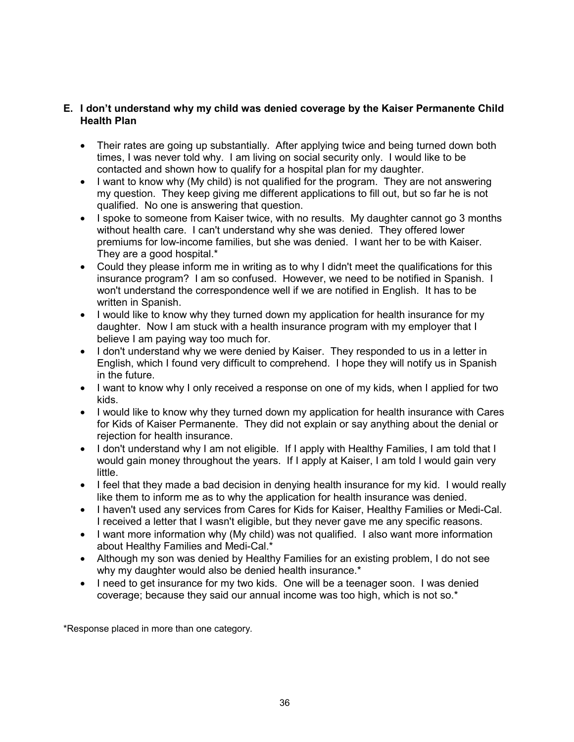#### **E. I don't understand why my child was denied coverage by the Kaiser Permanente Child Health Plan**

- Their rates are going up substantially. After applying twice and being turned down both times, I was never told why. I am living on social security only. I would like to be contacted and shown how to qualify for a hospital plan for my daughter.
- I want to know why (My child) is not qualified for the program. They are not answering my question. They keep giving me different applications to fill out, but so far he is not qualified. No one is answering that question.
- I spoke to someone from Kaiser twice, with no results. My daughter cannot go 3 months without health care. I can't understand why she was denied. They offered lower premiums for low-income families, but she was denied. I want her to be with Kaiser. They are a good hospital.\*
- Could they please inform me in writing as to why I didn't meet the qualifications for this insurance program? I am so confused. However, we need to be notified in Spanish. I won't understand the correspondence well if we are notified in English. It has to be written in Spanish.
- I would like to know why they turned down my application for health insurance for my daughter. Now I am stuck with a health insurance program with my employer that I believe I am paying way too much for.
- I don't understand why we were denied by Kaiser. They responded to us in a letter in English, which I found very difficult to comprehend. I hope they will notify us in Spanish in the future.
- I want to know why I only received a response on one of my kids, when I applied for two kids.
- I would like to know why they turned down my application for health insurance with Cares for Kids of Kaiser Permanente. They did not explain or say anything about the denial or rejection for health insurance.
- I don't understand why I am not eligible. If I apply with Healthy Families, I am told that I would gain money throughout the years. If I apply at Kaiser, I am told I would gain very little.
- I feel that they made a bad decision in denying health insurance for my kid. I would really like them to inform me as to why the application for health insurance was denied.
- I haven't used any services from Cares for Kids for Kaiser, Healthy Families or Medi-Cal. I received a letter that I wasn't eligible, but they never gave me any specific reasons.
- I want more information why (My child) was not qualified. I also want more information about Healthy Families and Medi-Cal.\*
- Although my son was denied by Healthy Families for an existing problem, I do not see why my daughter would also be denied health insurance.<sup>\*</sup>
- I need to get insurance for my two kids. One will be a teenager soon. I was denied coverage; because they said our annual income was too high, which is not so.\*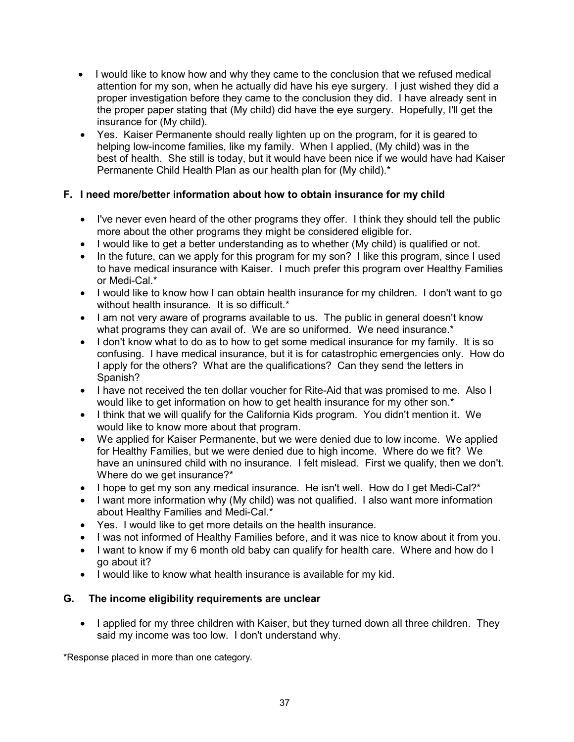- I would like to know how and why they came to the conclusion that we refused medical attention for my son, when he actually did have his eye surgery. I just wished they did a proper investigation before they came to the conclusion they did. I have already sent in the proper paper stating that (My child) did have the eye surgery. Hopefully, I'll get the insurance for (My child).
- Yes. Kaiser Permanente should really lighten up on the program, for it is geared to helping low-income families, like my family. When I applied, (My child) was in the best of health. She still is today, but it would have been nice if we would have had Kaiser Permanente Child Health Plan as our health plan for (My child).\*

## **F. I need more/better information about how to obtain insurance for my child**

- I've never even heard of the other programs they offer. I think they should tell the public more about the other programs they might be considered eligible for.
- I would like to get a better understanding as to whether (My child) is qualified or not.
- In the future, can we apply for this program for my son? I like this program, since I used to have medical insurance with Kaiser. I much prefer this program over Healthy Families or Medi-Cal.\*
- I would like to know how I can obtain health insurance for my children. I don't want to go without health insurance. It is so difficult.\*
- I am not very aware of programs available to us. The public in general doesn't know what programs they can avail of. We are so uniformed. We need insurance.\*
- I don't know what to do as to how to get some medical insurance for my family. It is so confusing. I have medical insurance, but it is for catastrophic emergencies only. How do I apply for the others? What are the qualifications? Can they send the letters in Spanish?
- I have not received the ten dollar voucher for Rite-Aid that was promised to me. Also I would like to get information on how to get health insurance for my other son.<sup>\*</sup>
- I think that we will qualify for the California Kids program. You didn't mention it. We would like to know more about that program.
- We applied for Kaiser Permanente, but we were denied due to low income. We applied for Healthy Families, but we were denied due to high income. Where do we fit? We have an uninsured child with no insurance. I felt mislead. First we qualify, then we don't. Where do we get insurance?\*
- I hope to get my son any medical insurance. He isn't well. How do I get Medi-Cal?\*
- I want more information why (My child) was not qualified. I also want more information about Healthy Families and Medi-Cal.\*
- Yes. I would like to get more details on the health insurance.
- I was not informed of Healthy Families before, and it was nice to know about it from you.
- I want to know if my 6 month old baby can qualify for health care. Where and how do I go about it?
- I would like to know what health insurance is available for my kid.

## **G. The income eligibility requirements are unclear**

• I applied for my three children with Kaiser, but they turned down all three children. They said my income was too low. I don't understand why.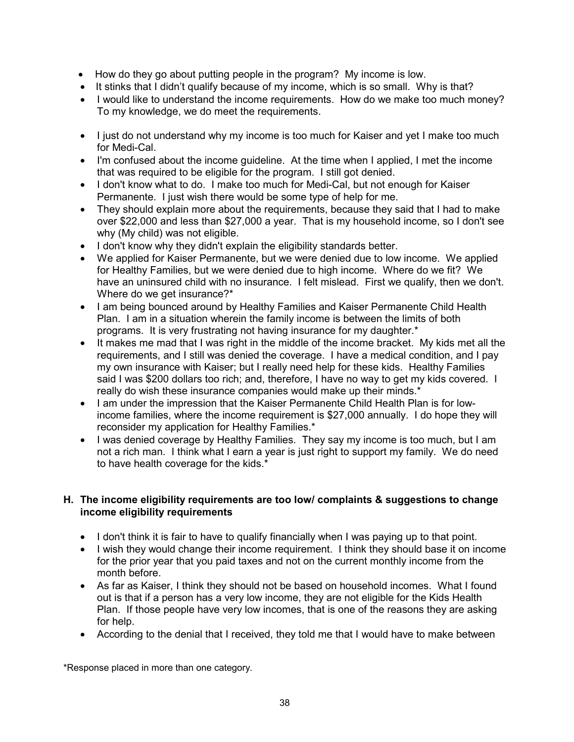- How do they go about putting people in the program? My income is low.
- It stinks that I didn't qualify because of my income, which is so small. Why is that?
- I would like to understand the income requirements. How do we make too much money? To my knowledge, we do meet the requirements.
- I just do not understand why my income is too much for Kaiser and yet I make too much for Medi-Cal.
- I'm confused about the income guideline. At the time when I applied, I met the income that was required to be eligible for the program. I still got denied.
- I don't know what to do. I make too much for Medi-Cal, but not enough for Kaiser Permanente. I just wish there would be some type of help for me.
- They should explain more about the requirements, because they said that I had to make over \$22,000 and less than \$27,000 a year. That is my household income, so I don't see why (My child) was not eligible.
- I don't know why they didn't explain the eligibility standards better.
- We applied for Kaiser Permanente, but we were denied due to low income. We applied for Healthy Families, but we were denied due to high income. Where do we fit? We have an uninsured child with no insurance. I felt mislead. First we qualify, then we don't. Where do we get insurance?\*
- I am being bounced around by Healthy Families and Kaiser Permanente Child Health Plan. I am in a situation wherein the family income is between the limits of both programs. It is very frustrating not having insurance for my daughter.\*
- It makes me mad that I was right in the middle of the income bracket. My kids met all the requirements, and I still was denied the coverage. I have a medical condition, and I pay my own insurance with Kaiser; but I really need help for these kids. Healthy Families said I was \$200 dollars too rich; and, therefore, I have no way to get my kids covered. I really do wish these insurance companies would make up their minds.\*
- I am under the impression that the Kaiser Permanente Child Health Plan is for lowincome families, where the income requirement is \$27,000 annually. I do hope they will reconsider my application for Healthy Families.\*
- I was denied coverage by Healthy Families. They say my income is too much, but I am not a rich man. I think what I earn a year is just right to support my family. We do need to have health coverage for the kids.\*

## **H. The income eligibility requirements are too low/ complaints & suggestions to change income eligibility requirements**

- I don't think it is fair to have to qualify financially when I was paying up to that point.
- I wish they would change their income requirement. I think they should base it on income for the prior year that you paid taxes and not on the current monthly income from the month before.
- As far as Kaiser, I think they should not be based on household incomes. What I found out is that if a person has a very low income, they are not eligible for the Kids Health Plan. If those people have very low incomes, that is one of the reasons they are asking for help.
- According to the denial that I received, they told me that I would have to make between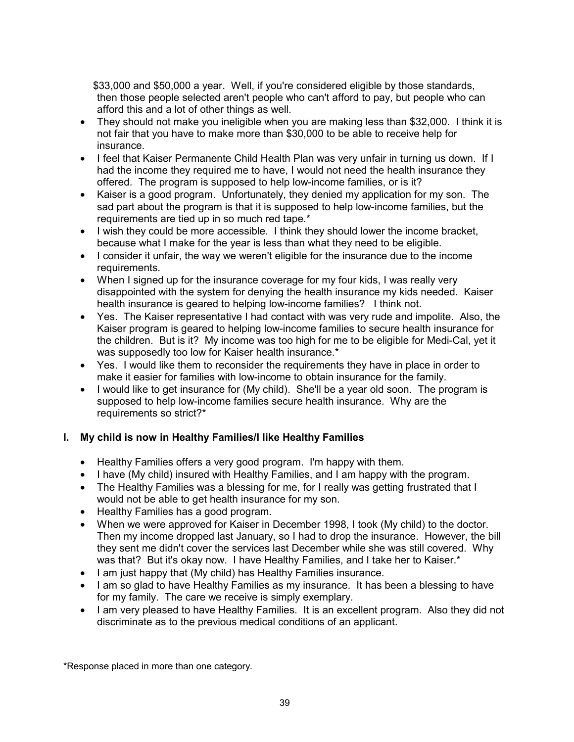\$33,000 and \$50,000 a year. Well, if you're considered eligible by those standards, then those people selected aren't people who can't afford to pay, but people who can afford this and a lot of other things as well.

- They should not make you ineligible when you are making less than \$32,000. I think it is not fair that you have to make more than \$30,000 to be able to receive help for insurance.
- I feel that Kaiser Permanente Child Health Plan was very unfair in turning us down. If I had the income they required me to have, I would not need the health insurance they offered. The program is supposed to help low-income families, or is it?
- Kaiser is a good program. Unfortunately, they denied my application for my son. The sad part about the program is that it is supposed to help low-income families, but the requirements are tied up in so much red tape.\*
- I wish they could be more accessible. I think they should lower the income bracket, because what I make for the year is less than what they need to be eligible.
- I consider it unfair, the way we weren't eligible for the insurance due to the income requirements.
- When I signed up for the insurance coverage for my four kids, I was really very disappointed with the system for denying the health insurance my kids needed. Kaiser health insurance is geared to helping low-income families? I think not.
- Yes. The Kaiser representative I had contact with was very rude and impolite. Also, the Kaiser program is geared to helping low-income families to secure health insurance for the children. But is it? My income was too high for me to be eligible for Medi-Cal, yet it was supposedly too low for Kaiser health insurance.\*
- Yes. I would like them to reconsider the requirements they have in place in order to make it easier for families with low-income to obtain insurance for the family.
- I would like to get insurance for (My child). She'll be a year old soon. The program is supposed to help low-income families secure health insurance. Why are the requirements so strict?\*

## **I. My child is now in Healthy Families/I like Healthy Families**

- Healthy Families offers a very good program. I'm happy with them.
- I have (My child) insured with Healthy Families, and I am happy with the program.
- The Healthy Families was a blessing for me, for I really was getting frustrated that I would not be able to get health insurance for my son.
- Healthy Families has a good program.
- When we were approved for Kaiser in December 1998, I took (My child) to the doctor. Then my income dropped last January, so I had to drop the insurance. However, the bill they sent me didn't cover the services last December while she was still covered. Why was that? But it's okay now. I have Healthy Families, and I take her to Kaiser.\*
- I am just happy that (My child) has Healthy Families insurance.
- I am so glad to have Healthy Families as my insurance. It has been a blessing to have for my family. The care we receive is simply exemplary.
- I am very pleased to have Healthy Families. It is an excellent program. Also they did not discriminate as to the previous medical conditions of an applicant.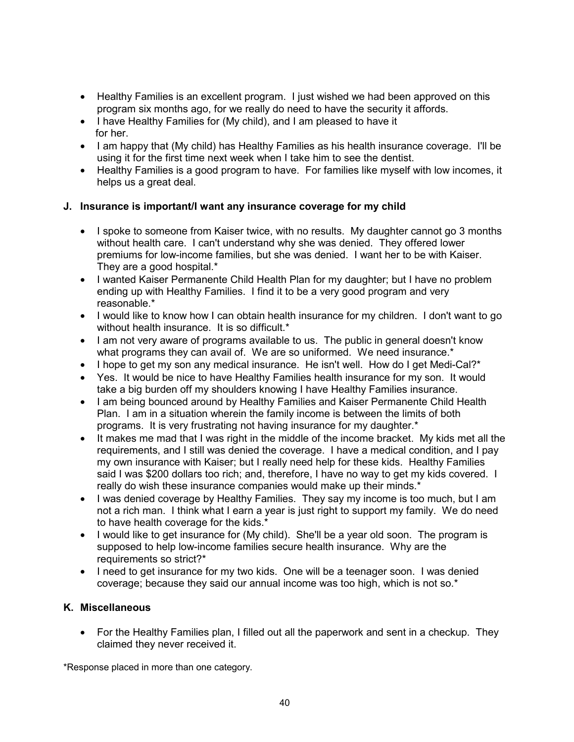- Healthy Families is an excellent program. I just wished we had been approved on this program six months ago, for we really do need to have the security it affords.
- I have Healthy Families for (My child), and I am pleased to have it for her.
- I am happy that (My child) has Healthy Families as his health insurance coverage. I'll be using it for the first time next week when I take him to see the dentist.
- Healthy Families is a good program to have. For families like myself with low incomes, it helps us a great deal.

## **J. Insurance is important/I want any insurance coverage for my child**

- I spoke to someone from Kaiser twice, with no results. My daughter cannot go 3 months without health care. I can't understand why she was denied. They offered lower premiums for low-income families, but she was denied. I want her to be with Kaiser. They are a good hospital.\*
- I wanted Kaiser Permanente Child Health Plan for my daughter; but I have no problem ending up with Healthy Families. I find it to be a very good program and very reasonable.\*
- I would like to know how I can obtain health insurance for my children. I don't want to go without health insurance. It is so difficult.\*
- I am not very aware of programs available to us. The public in general doesn't know what programs they can avail of. We are so uniformed. We need insurance.<sup>\*</sup>
- I hope to get my son any medical insurance. He isn't well. How do I get Medi-Cal?\*
- Yes. It would be nice to have Healthy Families health insurance for my son. It would take a big burden off my shoulders knowing I have Healthy Families insurance.
- I am being bounced around by Healthy Families and Kaiser Permanente Child Health Plan. I am in a situation wherein the family income is between the limits of both programs. It is very frustrating not having insurance for my daughter.\*
- It makes me mad that I was right in the middle of the income bracket. My kids met all the requirements, and I still was denied the coverage. I have a medical condition, and I pay my own insurance with Kaiser; but I really need help for these kids. Healthy Families said I was \$200 dollars too rich; and, therefore, I have no way to get my kids covered. I really do wish these insurance companies would make up their minds.\*
- I was denied coverage by Healthy Families. They say my income is too much, but I am not a rich man. I think what I earn a year is just right to support my family. We do need to have health coverage for the kids.\*
- I would like to get insurance for (My child). She'll be a year old soon. The program is supposed to help low-income families secure health insurance. Why are the requirements so strict?\*
- I need to get insurance for my two kids. One will be a teenager soon. I was denied coverage; because they said our annual income was too high, which is not so.\*

#### **K. Miscellaneous**

• For the Healthy Families plan, I filled out all the paperwork and sent in a checkup. They claimed they never received it.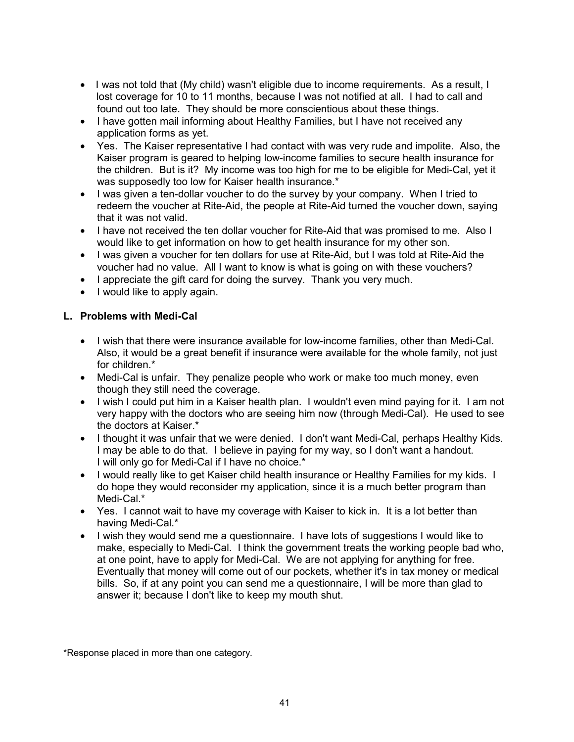- I was not told that (My child) wasn't eligible due to income requirements. As a result, I lost coverage for 10 to 11 months, because I was not notified at all. I had to call and found out too late. They should be more conscientious about these things.
- I have gotten mail informing about Healthy Families, but I have not received any application forms as yet.
- Yes. The Kaiser representative I had contact with was very rude and impolite. Also, the Kaiser program is geared to helping low-income families to secure health insurance for the children. But is it? My income was too high for me to be eligible for Medi-Cal, yet it was supposedly too low for Kaiser health insurance.\*
- I was given a ten-dollar voucher to do the survey by your company. When I tried to redeem the voucher at Rite-Aid, the people at Rite-Aid turned the voucher down, saying that it was not valid.
- I have not received the ten dollar voucher for Rite-Aid that was promised to me. Also I would like to get information on how to get health insurance for my other son.
- I was given a voucher for ten dollars for use at Rite-Aid, but I was told at Rite-Aid the voucher had no value. All I want to know is what is going on with these vouchers?
- I appreciate the gift card for doing the survey. Thank you very much.
- I would like to apply again.

## **L. Problems with Medi-Cal**

- I wish that there were insurance available for low-income families, other than Medi-Cal. Also, it would be a great benefit if insurance were available for the whole family, not just for children.\*
- Medi-Cal is unfair. They penalize people who work or make too much money, even though they still need the coverage.
- I wish I could put him in a Kaiser health plan. I wouldn't even mind paying for it. I am not very happy with the doctors who are seeing him now (through Medi-Cal). He used to see the doctors at Kaiser.\*
- I thought it was unfair that we were denied. I don't want Medi-Cal, perhaps Healthy Kids. I may be able to do that. I believe in paying for my way, so I don't want a handout. I will only go for Medi-Cal if I have no choice.\*
- I would really like to get Kaiser child health insurance or Healthy Families for my kids. I do hope they would reconsider my application, since it is a much better program than Medi-Cal.\*
- Yes. I cannot wait to have my coverage with Kaiser to kick in. It is a lot better than having Medi-Cal.\*
- I wish they would send me a questionnaire. I have lots of suggestions I would like to make, especially to Medi-Cal. I think the government treats the working people bad who, at one point, have to apply for Medi-Cal. We are not applying for anything for free. Eventually that money will come out of our pockets, whether it's in tax money or medical bills. So, if at any point you can send me a questionnaire, I will be more than glad to answer it; because I don't like to keep my mouth shut.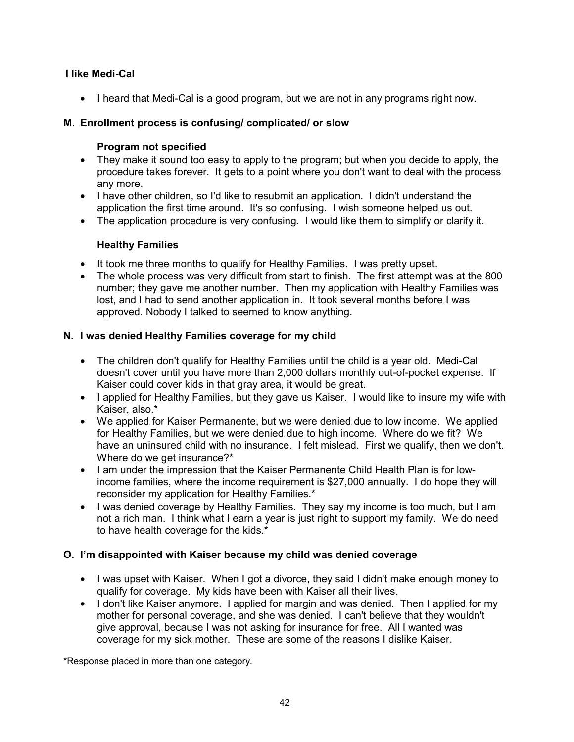## **I like Medi-Cal**

• I heard that Medi-Cal is a good program, but we are not in any programs right now.

## **M. Enrollment process is confusing/ complicated/ or slow**

#### **Program not specified**

- They make it sound too easy to apply to the program; but when you decide to apply, the procedure takes forever. It gets to a point where you don't want to deal with the process any more.
- I have other children, so I'd like to resubmit an application. I didn't understand the application the first time around. It's so confusing. I wish someone helped us out.
- The application procedure is very confusing. I would like them to simplify or clarify it.

## **Healthy Families**

- It took me three months to qualify for Healthy Families. I was pretty upset.
- The whole process was very difficult from start to finish. The first attempt was at the 800 number; they gave me another number. Then my application with Healthy Families was lost, and I had to send another application in. It took several months before I was approved. Nobody I talked to seemed to know anything.

## **N. I was denied Healthy Families coverage for my child**

- The children don't qualify for Healthy Families until the child is a year old. Medi-Cal doesn't cover until you have more than 2,000 dollars monthly out-of-pocket expense. If Kaiser could cover kids in that gray area, it would be great.
- I applied for Healthy Families, but they gave us Kaiser. I would like to insure my wife with Kaiser, also.\*
- We applied for Kaiser Permanente, but we were denied due to low income. We applied for Healthy Families, but we were denied due to high income. Where do we fit? We have an uninsured child with no insurance. I felt mislead. First we qualify, then we don't. Where do we get insurance?\*
- I am under the impression that the Kaiser Permanente Child Health Plan is for lowincome families, where the income requirement is \$27,000 annually. I do hope they will reconsider my application for Healthy Families.\*
- I was denied coverage by Healthy Families. They say my income is too much, but I am not a rich man. I think what I earn a year is just right to support my family. We do need to have health coverage for the kids.\*

#### **O. I'm disappointed with Kaiser because my child was denied coverage**

- I was upset with Kaiser. When I got a divorce, they said I didn't make enough money to qualify for coverage. My kids have been with Kaiser all their lives.
- I don't like Kaiser anymore. I applied for margin and was denied. Then I applied for my mother for personal coverage, and she was denied. I can't believe that they wouldn't give approval, because I was not asking for insurance for free. All I wanted was coverage for my sick mother. These are some of the reasons I dislike Kaiser.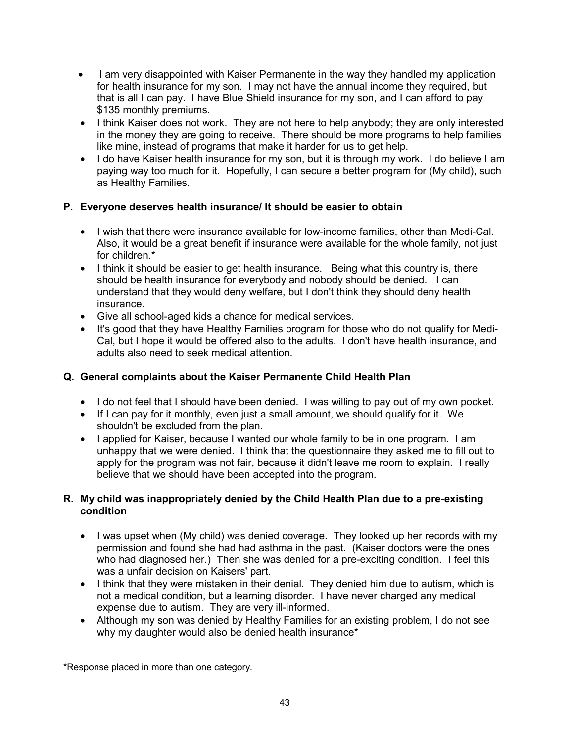- I am very disappointed with Kaiser Permanente in the way they handled my application for health insurance for my son. I may not have the annual income they required, but that is all I can pay. I have Blue Shield insurance for my son, and I can afford to pay \$135 monthly premiums.
- I think Kaiser does not work. They are not here to help anybody; they are only interested in the money they are going to receive. There should be more programs to help families like mine, instead of programs that make it harder for us to get help.
- I do have Kaiser health insurance for my son, but it is through my work. I do believe I am paying way too much for it. Hopefully, I can secure a better program for (My child), such as Healthy Families.

## **P. Everyone deserves health insurance/ It should be easier to obtain**

- I wish that there were insurance available for low-income families, other than Medi-Cal. Also, it would be a great benefit if insurance were available for the whole family, not just for children.\*
- I think it should be easier to get health insurance. Being what this country is, there should be health insurance for everybody and nobody should be denied. I can understand that they would deny welfare, but I don't think they should deny health insurance.
- Give all school-aged kids a chance for medical services.
- It's good that they have Healthy Families program for those who do not qualify for Medi-Cal, but I hope it would be offered also to the adults. I don't have health insurance, and adults also need to seek medical attention.

#### **Q. General complaints about the Kaiser Permanente Child Health Plan**

- I do not feel that I should have been denied. I was willing to pay out of my own pocket.
- If I can pay for it monthly, even just a small amount, we should qualify for it. We shouldn't be excluded from the plan.
- I applied for Kaiser, because I wanted our whole family to be in one program. I am unhappy that we were denied. I think that the questionnaire they asked me to fill out to apply for the program was not fair, because it didn't leave me room to explain. I really believe that we should have been accepted into the program.

#### **R. My child was inappropriately denied by the Child Health Plan due to a pre-existing condition**

- I was upset when (My child) was denied coverage. They looked up her records with my permission and found she had had asthma in the past. (Kaiser doctors were the ones who had diagnosed her.) Then she was denied for a pre-exciting condition. I feel this was a unfair decision on Kaisers' part.
- I think that they were mistaken in their denial. They denied him due to autism, which is not a medical condition, but a learning disorder. I have never charged any medical expense due to autism. They are very ill-informed.
- Although my son was denied by Healthy Families for an existing problem, I do not see why my daughter would also be denied health insurance\*